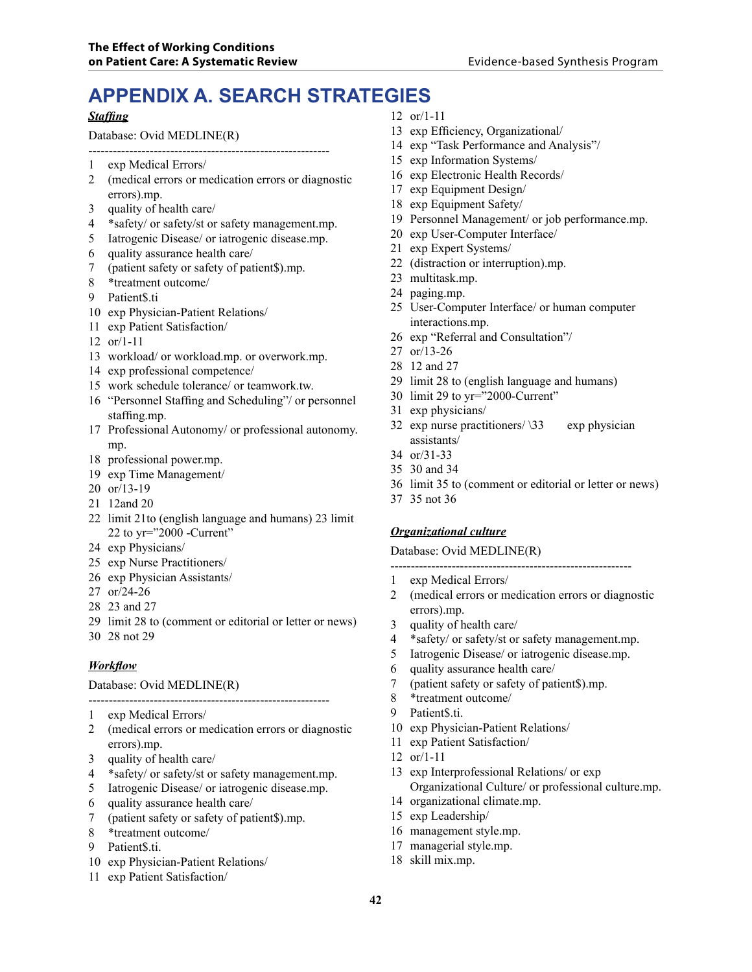# **APPENDIX A. SEARCH STRATEGIES**

#### *Staffing*

Database: Ovid MEDLINE(R)

- 1 exp Medical Errors/
- 2 (medical errors or medication errors or diagnostic errors).mp.
- 3 quality of health care/
- 4 \*safety/ or safety/st or safety management.mp.

-----------------------------------------------------------

- 5 Iatrogenic Disease/ or iatrogenic disease.mp.
- 6 quality assurance health care/
- 7 (patient safety or safety of patient\$).mp.
- 8 \*treatment outcome/
- 9 Patient\$.ti
- 10 exp Physician-Patient Relations/
- 11 exp Patient Satisfaction/
- 12 or/1-11
- 13 workload/ or workload.mp. or overwork.mp.
- 14 exp professional competence/
- 15 work schedule tolerance/ or teamwork.tw.
- 16 "Personnel Staffing and Scheduling"/ or personnel staffing.mp.
- 17 Professional Autonomy/ or professional autonomy. mp.
- 18 professional power.mp.
- 19 exp Time Management/
- 20 or/13-19
- 21 12and 20
- 22 limit 21to (english language and humans) 23 limit 22 to yr="2000 -Current"
- 24 exp Physicians/
- 25 exp Nurse Practitioners/
- 26 exp Physician Assistants/
- 27 or/24-26
- 28 23 and 27
- 29 limit 28 to (comment or editorial or letter or news)
- 30 28 not 29

#### *Workflow*

#### ----------------------------------------------------------- Database: Ovid MEDLINE(R)

- 1 exp Medical Errors/
- 2 (medical errors or medication errors or diagnostic errors).mp.
- 3 quality of health care/
- 4 \*safety/ or safety/st or safety management.mp.
- 5 Iatrogenic Disease/ or iatrogenic disease.mp.
- 6 quality assurance health care/
- 7 (patient safety or safety of patient\$).mp.
- 8 \*treatment outcome/
- 9 Patient\$.ti.
- 10 exp Physician-Patient Relations/
- 11 exp Patient Satisfaction/
- 12 or/1-11
- 13 exp Efficiency, Organizational/
- 14 exp "Task Performance and Analysis"/
- 15 exp Information Systems/
- 16 exp Electronic Health Records/
- 17 exp Equipment Design/
- 18 exp Equipment Safety/
- 19 Personnel Management/ or job performance.mp.
- 20 exp User-Computer Interface/
- 21 exp Expert Systems/
- 22 (distraction or interruption).mp.
- 23 multitask.mp.
- 24 paging.mp.
- 25 User-Computer Interface/ or human computer interactions.mp.
- 26 exp "Referral and Consultation"/
- 27 or/13-26
- 28 12 and 27
- 29 limit 28 to (english language and humans)
- 30 limit 29 to yr="2000-Current"
- 31 exp physicians/
- 32 exp nurse practitioners/ $\sqrt{33}$  exp physician assistants/
- 34 or/31-33
- 35 30 and 34
- 36 limit 35 to (comment or editorial or letter or news)
- 37 35 not 36

#### *Organizational culture*

Database: Ovid MEDLINE(R)

- -----------------------------------------------------------
- 1 exp Medical Errors/
- 2 (medical errors or medication errors or diagnostic errors).mp.
- 3 quality of health care/
- 4 \*safety/ or safety/st or safety management.mp.
- 5 Iatrogenic Disease/ or iatrogenic disease.mp.
- 6 quality assurance health care/
- 7 (patient safety or safety of patient\$).mp.
- 8 \*treatment outcome/
- 9 Patient\$.ti.
- 10 exp Physician-Patient Relations/
- 11 exp Patient Satisfaction/
- 12 or/1-11
- 13 exp Interprofessional Relations/ or exp Organizational Culture/ or professional culture.mp.
- 14 organizational climate.mp.
- 15 exp Leadership/
- 16 management style.mp.
- 17 managerial style.mp.
- 18 skill mix.mp.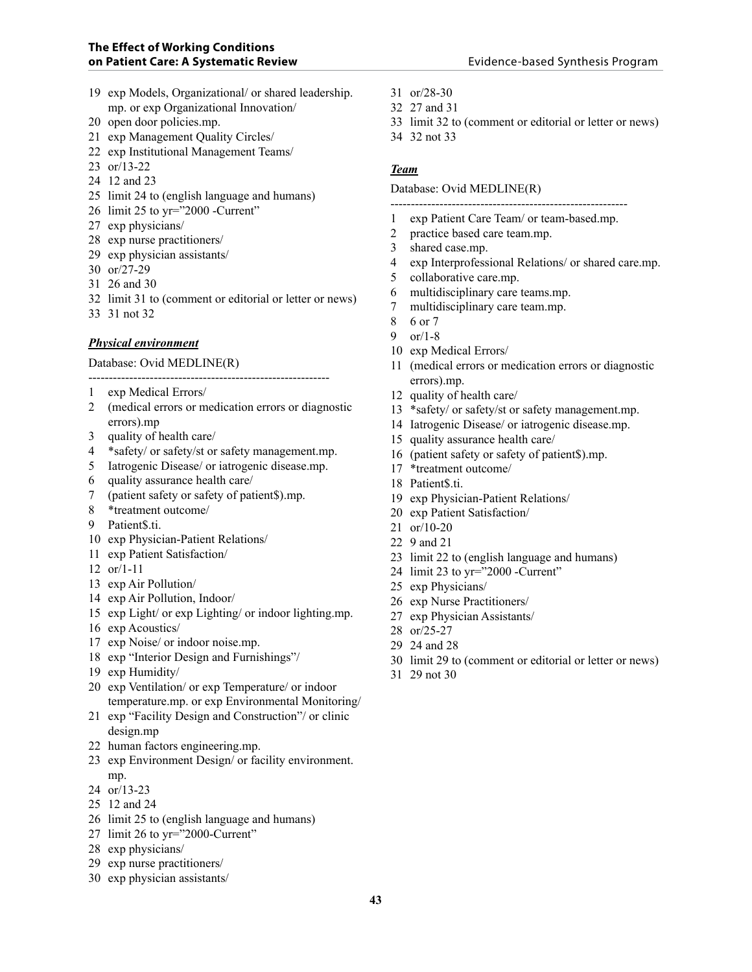- 19 exp Models, Organizational/ or shared leadership. mp. or exp Organizational Innovation/
- 20 open door policies.mp.
- 21 exp Management Quality Circles/
- 22 exp Institutional Management Teams/
- 23 or/13-22
- 24 12 and 23
- 25 limit 24 to (english language and humans)
- 26 limit 25 to yr="2000 -Current"
- 27 exp physicians/
- 28 exp nurse practitioners/
- 29 exp physician assistants/
- 30 or/27-29
- 31 26 and 30
- 32 limit 31 to (comment or editorial or letter or news)
- 33 31 not 32

#### *Physical environment*

#### Database: Ovid MEDLINE(R)

-----------------------------------------------------------

- 1 exp Medical Errors/
- 2 (medical errors or medication errors or diagnostic errors).mp
- 3 quality of health care/
- 4 \*safety/ or safety/st or safety management.mp.
- 5 Iatrogenic Disease/ or iatrogenic disease.mp.
- 6 quality assurance health care/
- 7 (patient safety or safety of patient\$).mp.
- 8 \*treatment outcome/
- 9 Patient\$.ti.
- 10 exp Physician-Patient Relations/
- 11 exp Patient Satisfaction/
- 12 or/1-11
- 13 exp Air Pollution/
- 14 exp Air Pollution, Indoor/
- 15 exp Light/ or exp Lighting/ or indoor lighting.mp.
- 16 exp Acoustics/
- 17 exp Noise/ or indoor noise.mp.
- 18 exp "Interior Design and Furnishings"/
- 19 exp Humidity/
- 20 exp Ventilation/ or exp Temperature/ or indoor temperature.mp. or exp Environmental Monitoring/
- 21 exp "Facility Design and Construction"/ or clinic design.mp
- 22 human factors engineering.mp.
- 23 exp Environment Design/ or facility environment. mp.
- 24 or/13-23
- 25 12 and 24
- 26 limit 25 to (english language and humans)
- 27 limit 26 to yr="2000-Current"
- 28 exp physicians/
- 29 exp nurse practitioners/
- 30 exp physician assistants/
- 31 or/28-30
- 32 27 and 31
- 33 limit 32 to (comment or editorial or letter or news)
- 34 32 not 33

#### *Team*

Database: Ovid MEDLINE(R)

- ---------------------------------------------------------- 1 exp Patient Care Team/ or team-based.mp.
- 2 practice based care team.mp.
- 3 shared case.mp.
- 4 exp Interprofessional Relations/ or shared care.mp.
- 5 collaborative care.mp.
- 6 multidisciplinary care teams.mp.
- 7 multidisciplinary care team.mp.
- 8 6 or 7
- 9 or/1-8
- 10 exp Medical Errors/
- 11 (medical errors or medication errors or diagnostic errors).mp.
- 12 quality of health care/
- 13 \*safety/ or safety/st or safety management.mp.
- 14 Iatrogenic Disease/ or iatrogenic disease.mp.
- 15 quality assurance health care/
- 16 (patient safety or safety of patient\$).mp.
- 17 \*treatment outcome/
- 18 Patient\$.ti.
- 19 exp Physician-Patient Relations/
- 20 exp Patient Satisfaction/
- 21 or/10-20
- 22 9 and 21
- 23 limit 22 to (english language and humans)
- 24 limit 23 to yr="2000 -Current"
- 25 exp Physicians/
- 26 exp Nurse Practitioners/
- 27 exp Physician Assistants/
- 28 or/25-27
- 29 24 and 28
- 30 limit 29 to (comment or editorial or letter or news)
- 31 29 not 30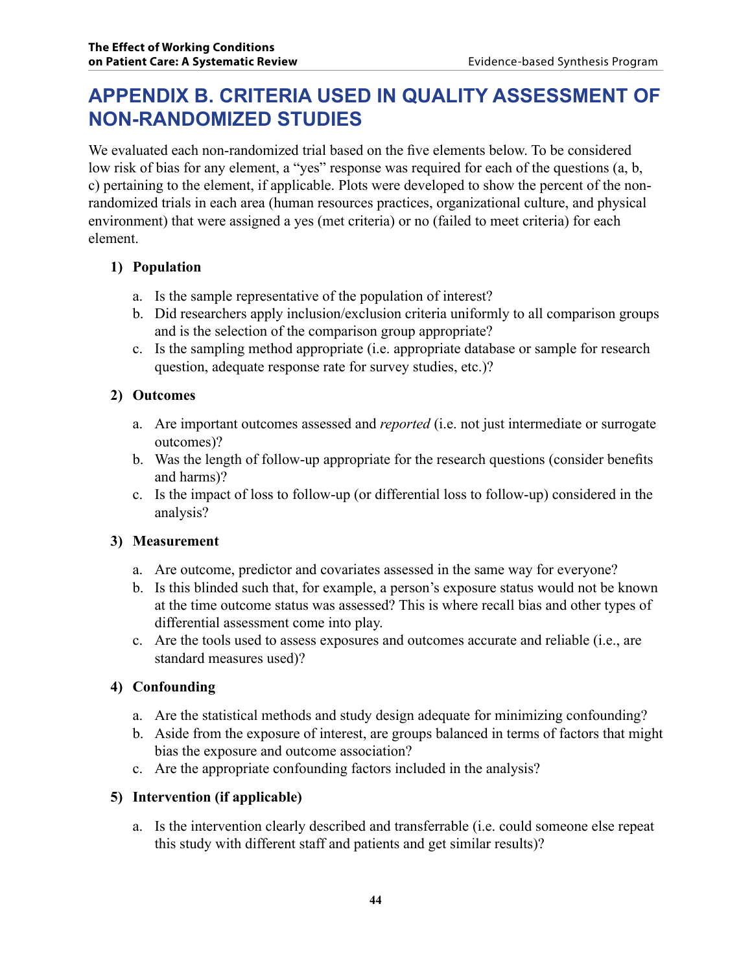## **APPENDIX B. CRITERIA USED IN QUALITY ASSESSMENT OF NON-RANDOMIzED STUDIES**

We evaluated each non-randomized trial based on the five elements below. To be considered low risk of bias for any element, a "yes" response was required for each of the questions (a, b, c) pertaining to the element, if applicable. Plots were developed to show the percent of the nonrandomized trials in each area (human resources practices, organizational culture, and physical environment) that were assigned a yes (met criteria) or no (failed to meet criteria) for each element.

## **1) Population**

- a. Is the sample representative of the population of interest?
- b. Did researchers apply inclusion/exclusion criteria uniformly to all comparison groups and is the selection of the comparison group appropriate?
- c. Is the sampling method appropriate (i.e. appropriate database or sample for research question, adequate response rate for survey studies, etc.)?

## **2) Outcomes**

- a. Are important outcomes assessed and *reported* (i.e. not just intermediate or surrogate outcomes)?
- b. Was the length of follow-up appropriate for the research questions (consider benefits and harms)?
- c. Is the impact of loss to follow-up (or differential loss to follow-up) considered in the analysis?

## **3) Measurement**

- a. Are outcome, predictor and covariates assessed in the same way for everyone?
- b. Is this blinded such that, for example, a person's exposure status would not be known at the time outcome status was assessed? This is where recall bias and other types of differential assessment come into play.
- c. Are the tools used to assess exposures and outcomes accurate and reliable (i.e., are standard measures used)?

## **4) Confounding**

- a. Are the statistical methods and study design adequate for minimizing confounding?
- b. Aside from the exposure of interest, are groups balanced in terms of factors that might bias the exposure and outcome association?
- c. Are the appropriate confounding factors included in the analysis?

## **5) Intervention (if applicable)**

a. Is the intervention clearly described and transferrable (i.e. could someone else repeat this study with different staff and patients and get similar results)?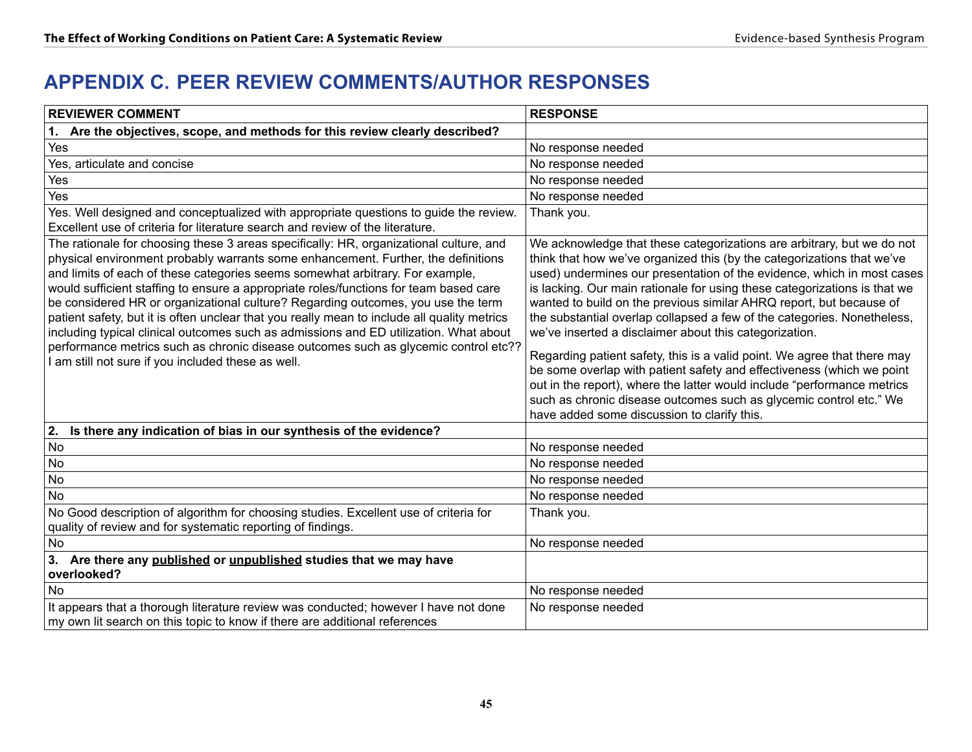## **APPENDIX C. PEER REVIEW COMMENTS/AUTHOR RESPONSES**

| <b>REVIEWER COMMENT</b>                                                                                                                                                                                                                                                                                                                                                                                                                                                                                                                                                                                                                                                                                                                                                        | <b>RESPONSE</b>                                                                                                                                                                                                                                                                                                                                                                                                                                                                                                                                                                                                                                                                                                                                                                                                                                                          |
|--------------------------------------------------------------------------------------------------------------------------------------------------------------------------------------------------------------------------------------------------------------------------------------------------------------------------------------------------------------------------------------------------------------------------------------------------------------------------------------------------------------------------------------------------------------------------------------------------------------------------------------------------------------------------------------------------------------------------------------------------------------------------------|--------------------------------------------------------------------------------------------------------------------------------------------------------------------------------------------------------------------------------------------------------------------------------------------------------------------------------------------------------------------------------------------------------------------------------------------------------------------------------------------------------------------------------------------------------------------------------------------------------------------------------------------------------------------------------------------------------------------------------------------------------------------------------------------------------------------------------------------------------------------------|
| 1. Are the objectives, scope, and methods for this review clearly described?                                                                                                                                                                                                                                                                                                                                                                                                                                                                                                                                                                                                                                                                                                   |                                                                                                                                                                                                                                                                                                                                                                                                                                                                                                                                                                                                                                                                                                                                                                                                                                                                          |
| Yes                                                                                                                                                                                                                                                                                                                                                                                                                                                                                                                                                                                                                                                                                                                                                                            | No response needed                                                                                                                                                                                                                                                                                                                                                                                                                                                                                                                                                                                                                                                                                                                                                                                                                                                       |
| Yes, articulate and concise                                                                                                                                                                                                                                                                                                                                                                                                                                                                                                                                                                                                                                                                                                                                                    | No response needed                                                                                                                                                                                                                                                                                                                                                                                                                                                                                                                                                                                                                                                                                                                                                                                                                                                       |
| Yes                                                                                                                                                                                                                                                                                                                                                                                                                                                                                                                                                                                                                                                                                                                                                                            | No response needed                                                                                                                                                                                                                                                                                                                                                                                                                                                                                                                                                                                                                                                                                                                                                                                                                                                       |
| Yes                                                                                                                                                                                                                                                                                                                                                                                                                                                                                                                                                                                                                                                                                                                                                                            | No response needed                                                                                                                                                                                                                                                                                                                                                                                                                                                                                                                                                                                                                                                                                                                                                                                                                                                       |
| Yes. Well designed and conceptualized with appropriate questions to guide the review.<br>Excellent use of criteria for literature search and review of the literature.                                                                                                                                                                                                                                                                                                                                                                                                                                                                                                                                                                                                         | Thank you.                                                                                                                                                                                                                                                                                                                                                                                                                                                                                                                                                                                                                                                                                                                                                                                                                                                               |
| The rationale for choosing these 3 areas specifically: HR, organizational culture, and<br>physical environment probably warrants some enhancement. Further, the definitions<br>and limits of each of these categories seems somewhat arbitrary. For example,<br>would sufficient staffing to ensure a appropriate roles/functions for team based care<br>be considered HR or organizational culture? Regarding outcomes, you use the term<br>patient safety, but it is often unclear that you really mean to include all quality metrics<br>including typical clinical outcomes such as admissions and ED utilization. What about<br>performance metrics such as chronic disease outcomes such as glycemic control etc??<br>I am still not sure if you included these as well. | We acknowledge that these categorizations are arbitrary, but we do not<br>think that how we've organized this (by the categorizations that we've<br>used) undermines our presentation of the evidence, which in most cases<br>is lacking. Our main rationale for using these categorizations is that we<br>wanted to build on the previous similar AHRQ report, but because of<br>the substantial overlap collapsed a few of the categories. Nonetheless,<br>we've inserted a disclaimer about this categorization.<br>Regarding patient safety, this is a valid point. We agree that there may<br>be some overlap with patient safety and effectiveness (which we point<br>out in the report), where the latter would include "performance metrics<br>such as chronic disease outcomes such as glycemic control etc." We<br>have added some discussion to clarify this. |
| Is there any indication of bias in our synthesis of the evidence?<br>2.                                                                                                                                                                                                                                                                                                                                                                                                                                                                                                                                                                                                                                                                                                        |                                                                                                                                                                                                                                                                                                                                                                                                                                                                                                                                                                                                                                                                                                                                                                                                                                                                          |
| No                                                                                                                                                                                                                                                                                                                                                                                                                                                                                                                                                                                                                                                                                                                                                                             | No response needed                                                                                                                                                                                                                                                                                                                                                                                                                                                                                                                                                                                                                                                                                                                                                                                                                                                       |
| No                                                                                                                                                                                                                                                                                                                                                                                                                                                                                                                                                                                                                                                                                                                                                                             | No response needed                                                                                                                                                                                                                                                                                                                                                                                                                                                                                                                                                                                                                                                                                                                                                                                                                                                       |
| <b>No</b>                                                                                                                                                                                                                                                                                                                                                                                                                                                                                                                                                                                                                                                                                                                                                                      | No response needed                                                                                                                                                                                                                                                                                                                                                                                                                                                                                                                                                                                                                                                                                                                                                                                                                                                       |
| No                                                                                                                                                                                                                                                                                                                                                                                                                                                                                                                                                                                                                                                                                                                                                                             | No response needed                                                                                                                                                                                                                                                                                                                                                                                                                                                                                                                                                                                                                                                                                                                                                                                                                                                       |
| No Good description of algorithm for choosing studies. Excellent use of criteria for<br>quality of review and for systematic reporting of findings.                                                                                                                                                                                                                                                                                                                                                                                                                                                                                                                                                                                                                            | Thank you.                                                                                                                                                                                                                                                                                                                                                                                                                                                                                                                                                                                                                                                                                                                                                                                                                                                               |
| <b>No</b>                                                                                                                                                                                                                                                                                                                                                                                                                                                                                                                                                                                                                                                                                                                                                                      | No response needed                                                                                                                                                                                                                                                                                                                                                                                                                                                                                                                                                                                                                                                                                                                                                                                                                                                       |
| 3. Are there any published or unpublished studies that we may have<br>overlooked?                                                                                                                                                                                                                                                                                                                                                                                                                                                                                                                                                                                                                                                                                              |                                                                                                                                                                                                                                                                                                                                                                                                                                                                                                                                                                                                                                                                                                                                                                                                                                                                          |
| <b>No</b>                                                                                                                                                                                                                                                                                                                                                                                                                                                                                                                                                                                                                                                                                                                                                                      | No response needed                                                                                                                                                                                                                                                                                                                                                                                                                                                                                                                                                                                                                                                                                                                                                                                                                                                       |
| It appears that a thorough literature review was conducted; however I have not done<br>my own lit search on this topic to know if there are additional references                                                                                                                                                                                                                                                                                                                                                                                                                                                                                                                                                                                                              | No response needed                                                                                                                                                                                                                                                                                                                                                                                                                                                                                                                                                                                                                                                                                                                                                                                                                                                       |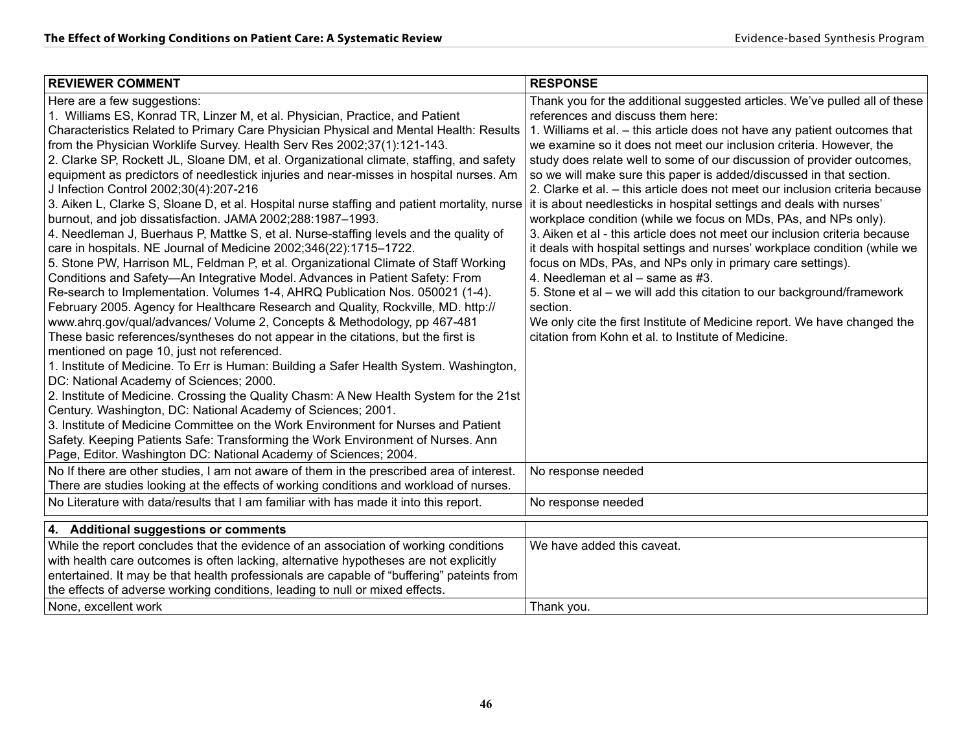| <b>REVIEWER COMMENT</b>                                                                                                                                                                                                                                                                                                                                                                                                                                                                                                                                                                                                                                                                                                                                                                                                                                                                                                                                                                                                                                                                                                                                                                                                                                                                                                                                                                                                                                                                                                                                                                                                               | <b>RESPONSE</b>                                                                                                                                                                                                                                                                                                                                                                                                                                                                                                                                                                                                                                                                                                                                                                                                                                                                                                                                                                                                                                                                                                                       |
|---------------------------------------------------------------------------------------------------------------------------------------------------------------------------------------------------------------------------------------------------------------------------------------------------------------------------------------------------------------------------------------------------------------------------------------------------------------------------------------------------------------------------------------------------------------------------------------------------------------------------------------------------------------------------------------------------------------------------------------------------------------------------------------------------------------------------------------------------------------------------------------------------------------------------------------------------------------------------------------------------------------------------------------------------------------------------------------------------------------------------------------------------------------------------------------------------------------------------------------------------------------------------------------------------------------------------------------------------------------------------------------------------------------------------------------------------------------------------------------------------------------------------------------------------------------------------------------------------------------------------------------|---------------------------------------------------------------------------------------------------------------------------------------------------------------------------------------------------------------------------------------------------------------------------------------------------------------------------------------------------------------------------------------------------------------------------------------------------------------------------------------------------------------------------------------------------------------------------------------------------------------------------------------------------------------------------------------------------------------------------------------------------------------------------------------------------------------------------------------------------------------------------------------------------------------------------------------------------------------------------------------------------------------------------------------------------------------------------------------------------------------------------------------|
| Here are a few suggestions:<br>1. Williams ES, Konrad TR, Linzer M, et al. Physician, Practice, and Patient<br>Characteristics Related to Primary Care Physician Physical and Mental Health: Results<br>from the Physician Worklife Survey. Health Serv Res 2002;37(1):121-143.<br>2. Clarke SP, Rockett JL, Sloane DM, et al. Organizational climate, staffing, and safety<br>equipment as predictors of needlestick injuries and near-misses in hospital nurses. Am<br>J Infection Control 2002;30(4):207-216<br>3. Aiken L, Clarke S, Sloane D, et al. Hospital nurse staffing and patient mortality, nurse<br>burnout, and job dissatisfaction. JAMA 2002;288:1987-1993.<br>4. Needleman J, Buerhaus P, Mattke S, et al. Nurse-staffing levels and the quality of<br>care in hospitals. NE Journal of Medicine 2002;346(22):1715-1722.<br>5. Stone PW, Harrison ML, Feldman P, et al. Organizational Climate of Staff Working<br>Conditions and Safety-An Integrative Model. Advances in Patient Safety: From<br>Re-search to Implementation. Volumes 1-4, AHRQ Publication Nos. 050021 (1-4).<br>February 2005. Agency for Healthcare Research and Quality, Rockville, MD. http://<br>www.ahrq.gov/qual/advances/ Volume 2, Concepts & Methodology, pp 467-481<br>These basic references/syntheses do not appear in the citations, but the first is<br>mentioned on page 10, just not referenced.<br>1. Institute of Medicine. To Err is Human: Building a Safer Health System. Washington,<br>DC: National Academy of Sciences; 2000.<br>2. Institute of Medicine. Crossing the Quality Chasm: A New Health System for the 21st | Thank you for the additional suggested articles. We've pulled all of these<br>references and discuss them here:<br>1. Williams et al. - this article does not have any patient outcomes that<br>we examine so it does not meet our inclusion criteria. However, the<br>study does relate well to some of our discussion of provider outcomes,<br>so we will make sure this paper is added/discussed in that section.<br>2. Clarke et al. - this article does not meet our inclusion criteria because<br>it is about needlesticks in hospital settings and deals with nurses'<br>workplace condition (while we focus on MDs, PAs, and NPs only).<br>3. Aiken et al - this article does not meet our inclusion criteria because<br>it deals with hospital settings and nurses' workplace condition (while we<br>focus on MDs, PAs, and NPs only in primary care settings).<br>4. Needleman et al - same as #3.<br>5. Stone et al - we will add this citation to our background/framework<br>section.<br>We only cite the first Institute of Medicine report. We have changed the<br>citation from Kohn et al. to Institute of Medicine. |
| Century. Washington, DC: National Academy of Sciences; 2001.<br>3. Institute of Medicine Committee on the Work Environment for Nurses and Patient<br>Safety. Keeping Patients Safe: Transforming the Work Environment of Nurses. Ann<br>Page, Editor. Washington DC: National Academy of Sciences; 2004.                                                                                                                                                                                                                                                                                                                                                                                                                                                                                                                                                                                                                                                                                                                                                                                                                                                                                                                                                                                                                                                                                                                                                                                                                                                                                                                              |                                                                                                                                                                                                                                                                                                                                                                                                                                                                                                                                                                                                                                                                                                                                                                                                                                                                                                                                                                                                                                                                                                                                       |
| No If there are other studies, I am not aware of them in the prescribed area of interest.<br>There are studies looking at the effects of working conditions and workload of nurses.                                                                                                                                                                                                                                                                                                                                                                                                                                                                                                                                                                                                                                                                                                                                                                                                                                                                                                                                                                                                                                                                                                                                                                                                                                                                                                                                                                                                                                                   | No response needed                                                                                                                                                                                                                                                                                                                                                                                                                                                                                                                                                                                                                                                                                                                                                                                                                                                                                                                                                                                                                                                                                                                    |
| No Literature with data/results that I am familiar with has made it into this report.                                                                                                                                                                                                                                                                                                                                                                                                                                                                                                                                                                                                                                                                                                                                                                                                                                                                                                                                                                                                                                                                                                                                                                                                                                                                                                                                                                                                                                                                                                                                                 | No response needed                                                                                                                                                                                                                                                                                                                                                                                                                                                                                                                                                                                                                                                                                                                                                                                                                                                                                                                                                                                                                                                                                                                    |
| 4. Additional suggestions or comments                                                                                                                                                                                                                                                                                                                                                                                                                                                                                                                                                                                                                                                                                                                                                                                                                                                                                                                                                                                                                                                                                                                                                                                                                                                                                                                                                                                                                                                                                                                                                                                                 |                                                                                                                                                                                                                                                                                                                                                                                                                                                                                                                                                                                                                                                                                                                                                                                                                                                                                                                                                                                                                                                                                                                                       |
| While the report concludes that the evidence of an association of working conditions<br>with health care outcomes is often lacking, alternative hypotheses are not explicitly<br>entertained. It may be that health professionals are capable of "buffering" pateints from<br>the effects of adverse working conditions, leading to null or mixed effects.                                                                                                                                                                                                                                                                                                                                                                                                                                                                                                                                                                                                                                                                                                                                                                                                                                                                                                                                                                                                                                                                                                                                                                                                                                                                            | We have added this caveat.                                                                                                                                                                                                                                                                                                                                                                                                                                                                                                                                                                                                                                                                                                                                                                                                                                                                                                                                                                                                                                                                                                            |
| None, excellent work                                                                                                                                                                                                                                                                                                                                                                                                                                                                                                                                                                                                                                                                                                                                                                                                                                                                                                                                                                                                                                                                                                                                                                                                                                                                                                                                                                                                                                                                                                                                                                                                                  | Thank you.                                                                                                                                                                                                                                                                                                                                                                                                                                                                                                                                                                                                                                                                                                                                                                                                                                                                                                                                                                                                                                                                                                                            |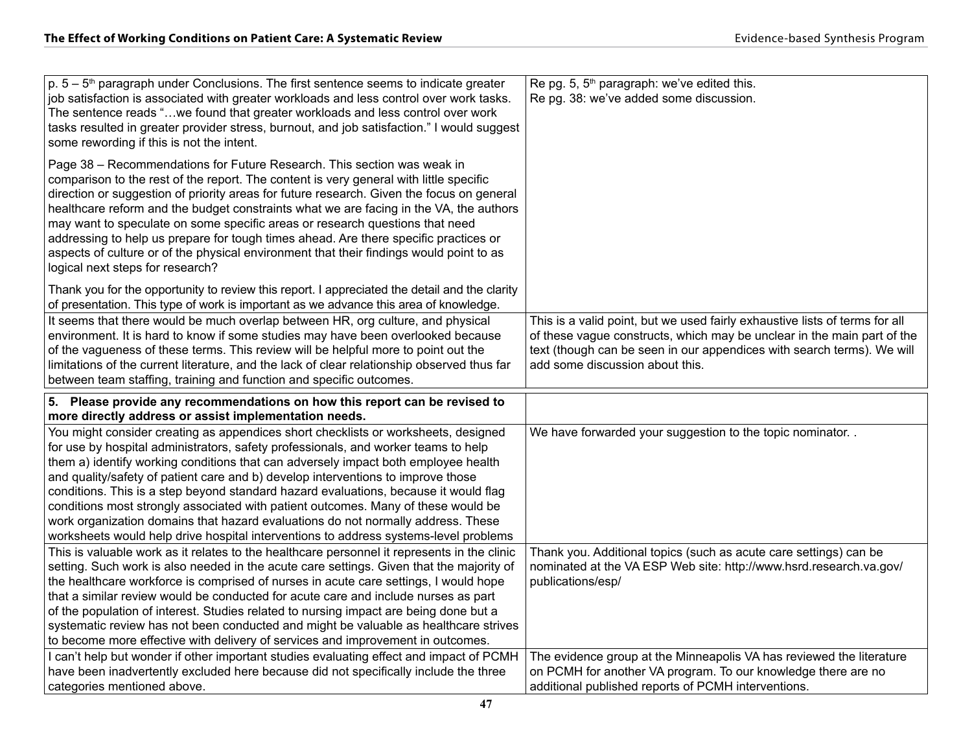| $p. 5 - 5th$ paragraph under Conclusions. The first sentence seems to indicate greater<br>job satisfaction is associated with greater workloads and less control over work tasks.<br>The sentence reads "we found that greater workloads and less control over work<br>tasks resulted in greater provider stress, burnout, and job satisfaction." I would suggest<br>some rewording if this is not the intent.                                                                                                                                                                                                                                                                                                                                                       | Re pg. 5, 5 <sup>th</sup> paragraph: we've edited this.<br>Re pg. 38: we've added some discussion.                                                                                                                                                                  |
|----------------------------------------------------------------------------------------------------------------------------------------------------------------------------------------------------------------------------------------------------------------------------------------------------------------------------------------------------------------------------------------------------------------------------------------------------------------------------------------------------------------------------------------------------------------------------------------------------------------------------------------------------------------------------------------------------------------------------------------------------------------------|---------------------------------------------------------------------------------------------------------------------------------------------------------------------------------------------------------------------------------------------------------------------|
| Page 38 - Recommendations for Future Research. This section was weak in<br>comparison to the rest of the report. The content is very general with little specific<br>direction or suggestion of priority areas for future research. Given the focus on general<br>healthcare reform and the budget constraints what we are facing in the VA, the authors<br>may want to speculate on some specific areas or research questions that need<br>addressing to help us prepare for tough times ahead. Are there specific practices or<br>aspects of culture or of the physical environment that their findings would point to as<br>logical next steps for research?                                                                                                      |                                                                                                                                                                                                                                                                     |
| Thank you for the opportunity to review this report. I appreciated the detail and the clarity<br>of presentation. This type of work is important as we advance this area of knowledge.                                                                                                                                                                                                                                                                                                                                                                                                                                                                                                                                                                               |                                                                                                                                                                                                                                                                     |
| It seems that there would be much overlap between HR, org culture, and physical<br>environment. It is hard to know if some studies may have been overlooked because<br>of the vagueness of these terms. This review will be helpful more to point out the<br>limitations of the current literature, and the lack of clear relationship observed thus far<br>between team staffing, training and function and specific outcomes.                                                                                                                                                                                                                                                                                                                                      | This is a valid point, but we used fairly exhaustive lists of terms for all<br>of these vague constructs, which may be unclear in the main part of the<br>text (though can be seen in our appendices with search terms). We will<br>add some discussion about this. |
| 5. Please provide any recommendations on how this report can be revised to                                                                                                                                                                                                                                                                                                                                                                                                                                                                                                                                                                                                                                                                                           |                                                                                                                                                                                                                                                                     |
|                                                                                                                                                                                                                                                                                                                                                                                                                                                                                                                                                                                                                                                                                                                                                                      |                                                                                                                                                                                                                                                                     |
| more directly address or assist implementation needs.<br>You might consider creating as appendices short checklists or worksheets, designed<br>for use by hospital administrators, safety professionals, and worker teams to help<br>them a) identify working conditions that can adversely impact both employee health<br>and quality/safety of patient care and b) develop interventions to improve those<br>conditions. This is a step beyond standard hazard evaluations, because it would flag<br>conditions most strongly associated with patient outcomes. Many of these would be<br>work organization domains that hazard evaluations do not normally address. These<br>worksheets would help drive hospital interventions to address systems-level problems | We have forwarded your suggestion to the topic nominator. .                                                                                                                                                                                                         |
| This is valuable work as it relates to the healthcare personnel it represents in the clinic<br>setting. Such work is also needed in the acute care settings. Given that the majority of<br>the healthcare workforce is comprised of nurses in acute care settings, I would hope<br>that a similar review would be conducted for acute care and include nurses as part<br>of the population of interest. Studies related to nursing impact are being done but a<br>systematic review has not been conducted and might be valuable as healthcare strives<br>to become more effective with delivery of services and improvement in outcomes.<br>I can't help but wonder if other important studies evaluating effect and impact of PCMH                                 | Thank you. Additional topics (such as acute care settings) can be<br>nominated at the VA ESP Web site: http://www.hsrd.research.va.gov/<br>publications/esp/<br>The evidence group at the Minneapolis VA has reviewed the literature                                |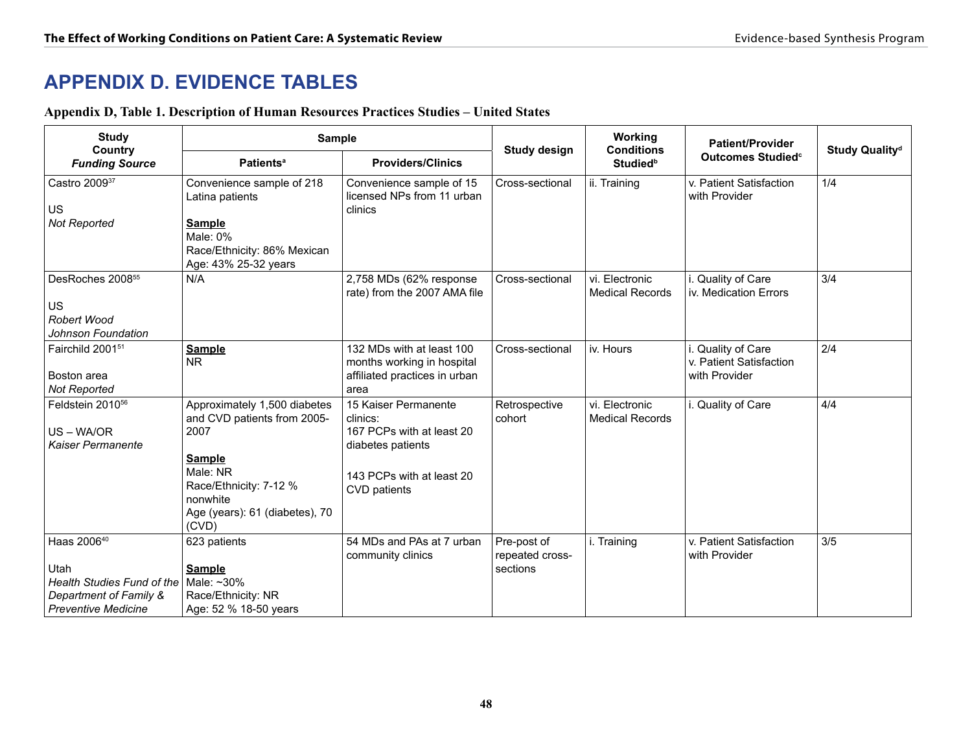## **APPENDIX D. EVIDENCE TABLES**

## **Appendix D, Table 1. Description of Human Resources Practices Studies – United States**

| <b>Study</b>                                                                                                                                                                                                                                                                                        | <b>Sample</b>                                                                                                                    |                                                                                                  |                                            | Working<br><b>Conditions</b>             | <b>Patient/Provider</b>                                        |                            |  |
|-----------------------------------------------------------------------------------------------------------------------------------------------------------------------------------------------------------------------------------------------------------------------------------------------------|----------------------------------------------------------------------------------------------------------------------------------|--------------------------------------------------------------------------------------------------|--------------------------------------------|------------------------------------------|----------------------------------------------------------------|----------------------------|--|
| Country<br><b>Funding Source</b>                                                                                                                                                                                                                                                                    | <b>Patients<sup>a</sup></b>                                                                                                      | <b>Providers/Clinics</b>                                                                         | <b>Study design</b>                        | <b>Studied</b> <sup>b</sup>              | Outcomes Studied <sup>c</sup>                                  | Study Quality <sup>d</sup> |  |
| Castro 200937<br><b>US</b><br>Not Reported                                                                                                                                                                                                                                                          | Convenience sample of 218<br>Latina patients<br><b>Sample</b><br>Male: 0%<br>Race/Ethnicity: 86% Mexican<br>Age: 43% 25-32 years | Convenience sample of 15<br>licensed NPs from 11 urban<br>clinics                                | Cross-sectional                            | ii. Training                             | v. Patient Satisfaction<br>with Provider                       | 1/4                        |  |
| DesRoches 2008 <sup>55</sup><br>US<br>Robert Wood<br>Johnson Foundation                                                                                                                                                                                                                             | N/A                                                                                                                              | 2,758 MDs (62% response<br>rate) from the 2007 AMA file                                          | Cross-sectional                            | vi. Electronic<br><b>Medical Records</b> | Quality of Care<br>iv. Medication Errors                       | 3/4                        |  |
| Fairchild 2001 <sup>51</sup><br>Boston area<br>Not Reported                                                                                                                                                                                                                                         | <b>Sample</b><br>N <sub>R</sub>                                                                                                  | 132 MDs with at least 100<br>months working in hospital<br>affiliated practices in urban<br>area | Cross-sectional                            | iv. Hours                                | i. Quality of Care<br>v. Patient Satisfaction<br>with Provider | 2/4                        |  |
| Feldstein 2010 <sup>56</sup><br>Approximately 1,500 diabetes<br>and CVD patients from 2005-<br>clinics:<br>US-WA/OR<br>2007<br>Kaiser Permanente<br>diabetes patients<br><b>Sample</b><br>Male: NR<br>Race/Ethnicity: 7-12 %<br>CVD patients<br>nonwhite<br>Age (years): 61 (diabetes), 70<br>(CVD) |                                                                                                                                  | 15 Kaiser Permanente<br>167 PCPs with at least 20<br>143 PCPs with at least 20                   | Retrospective<br>cohort                    | vi. Electronic<br><b>Medical Records</b> | i. Quality of Care                                             | 4/4                        |  |
| Haas 2006 <sup>40</sup><br>Utah<br>Health Studies Fund of the<br>Department of Family &<br><b>Preventive Medicine</b>                                                                                                                                                                               | 623 patients<br><b>Sample</b><br>Male: ~30%<br>Race/Ethnicity: NR<br>Age: 52 % 18-50 years                                       | 54 MDs and PAs at 7 urban<br>community clinics                                                   | Pre-post of<br>repeated cross-<br>sections | i. Training                              | v. Patient Satisfaction<br>with Provider                       | 3/5                        |  |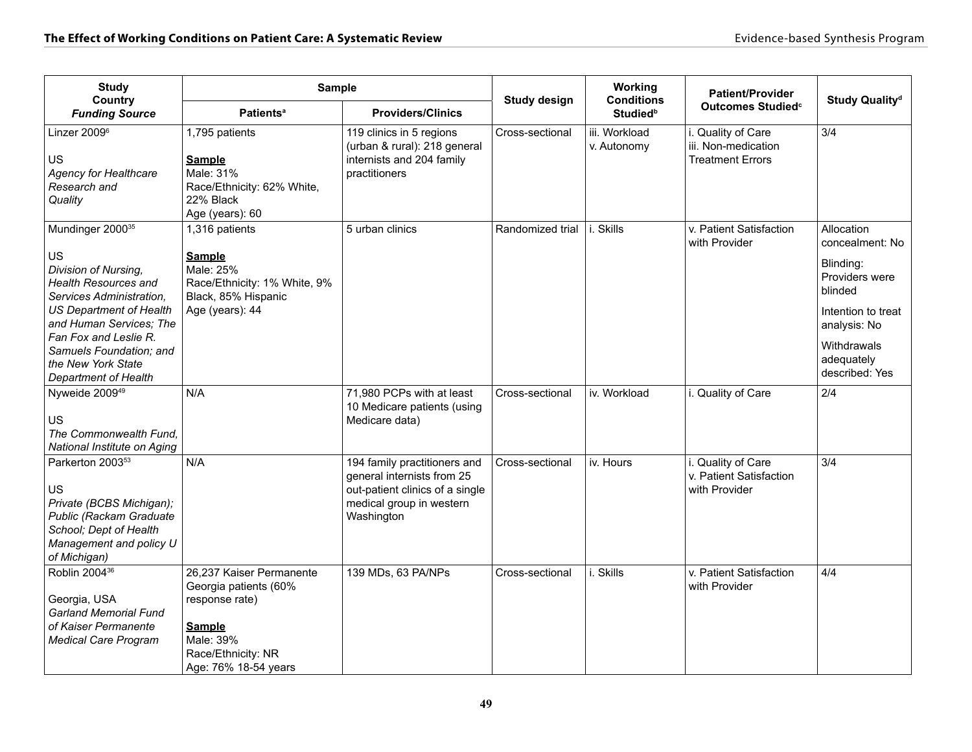| <b>Study</b><br>Country                                                                                                                                                                                                                                                              | <b>Sample</b>                                                                                                                                   |                                                                                                                                         | <b>Study design</b> | Working<br><b>Conditions</b> | <b>Patient/Provider</b>                                              | Study Quality <sup>d</sup>                                                                                                                                   |
|--------------------------------------------------------------------------------------------------------------------------------------------------------------------------------------------------------------------------------------------------------------------------------------|-------------------------------------------------------------------------------------------------------------------------------------------------|-----------------------------------------------------------------------------------------------------------------------------------------|---------------------|------------------------------|----------------------------------------------------------------------|--------------------------------------------------------------------------------------------------------------------------------------------------------------|
| <b>Funding Source</b>                                                                                                                                                                                                                                                                | <b>Patients<sup>a</sup></b>                                                                                                                     | <b>Providers/Clinics</b>                                                                                                                |                     | <b>Studied</b> <sup>b</sup>  | Outcomes Studied <sup>c</sup>                                        |                                                                                                                                                              |
| Linzer 2009 <sup>6</sup><br><b>US</b><br><b>Agency for Healthcare</b><br>Research and<br>Quality                                                                                                                                                                                     | 1,795 patients<br><b>Sample</b><br>Male: 31%<br>Race/Ethnicity: 62% White,<br>22% Black<br>Age (years): 60                                      | 119 clinics in 5 regions<br>(urban & rural): 218 general<br>internists and 204 family<br>practitioners                                  | Cross-sectional     | iii. Workload<br>v. Autonomy | i. Quality of Care<br>iii. Non-medication<br><b>Treatment Errors</b> | 3/4                                                                                                                                                          |
| Mundinger 2000 <sup>35</sup><br>US<br>Division of Nursing,<br><b>Health Resources and</b><br>Services Administration,<br><b>US Department of Health</b><br>and Human Services; The<br>Fan Fox and Leslie R.<br>Samuels Foundation; and<br>the New York State<br>Department of Health | 1,316 patients<br><b>Sample</b><br>Male: 25%<br>Race/Ethnicity: 1% White, 9%<br>Black, 85% Hispanic<br>Age (years): 44                          | 5 urban clinics                                                                                                                         | Randomized trial    | i. Skills                    | v. Patient Satisfaction<br>with Provider                             | Allocation<br>concealment: No<br>Blinding:<br>Providers were<br>blinded<br>Intention to treat<br>analysis: No<br>Withdrawals<br>adequately<br>described: Yes |
| Nyweide 2009 <sup>49</sup><br>US<br>The Commonwealth Fund.<br>National Institute on Aging                                                                                                                                                                                            | N/A                                                                                                                                             | 71,980 PCPs with at least<br>10 Medicare patients (using<br>Medicare data)                                                              | Cross-sectional     | iv. Workload                 | i. Quality of Care                                                   | 2/4                                                                                                                                                          |
| Parkerton 2003 <sup>53</sup><br>US<br>Private (BCBS Michigan);<br>Public (Rackam Graduate<br>School; Dept of Health<br>Management and policy U<br>of Michigan)                                                                                                                       | N/A                                                                                                                                             | 194 family practitioners and<br>general internists from 25<br>out-patient clinics of a single<br>medical group in western<br>Washington | Cross-sectional     | iv. Hours                    | i. Quality of Care<br>v. Patient Satisfaction<br>with Provider       | 3/4                                                                                                                                                          |
| Roblin 2004 <sup>36</sup><br>Georgia, USA<br><b>Garland Memorial Fund</b><br>of Kaiser Permanente<br><b>Medical Care Program</b>                                                                                                                                                     | 26,237 Kaiser Permanente<br>Georgia patients (60%<br>response rate)<br><b>Sample</b><br>Male: 39%<br>Race/Ethnicity: NR<br>Age: 76% 18-54 years | 139 MDs, 63 PA/NPs                                                                                                                      | Cross-sectional     | i. Skills                    | v. Patient Satisfaction<br>with Provider                             | 4/4                                                                                                                                                          |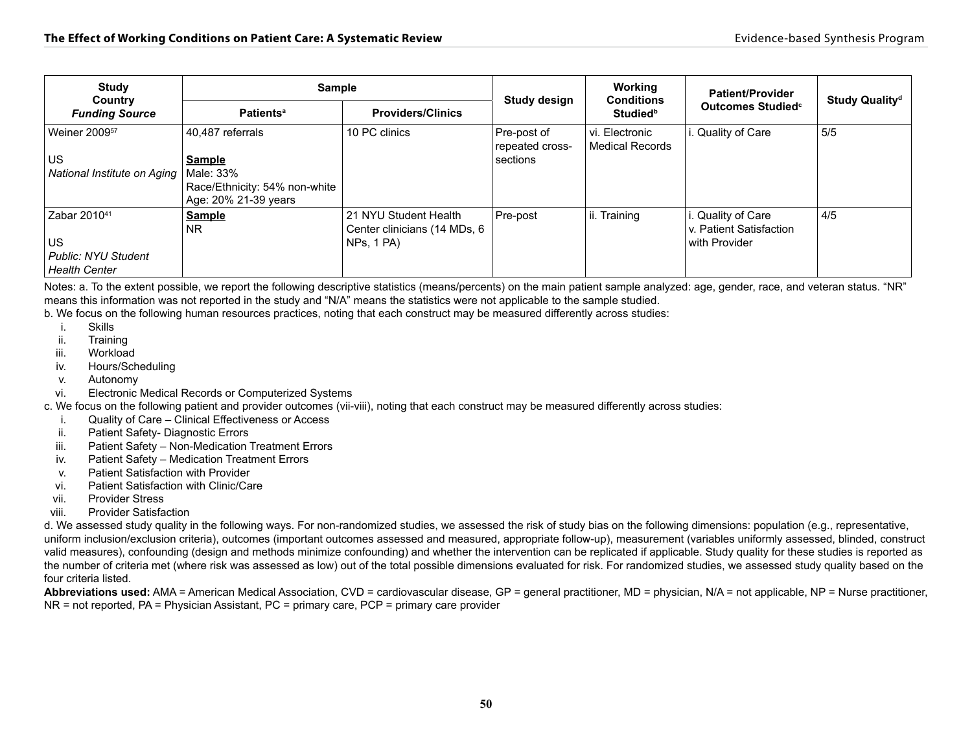| <b>Study</b><br>Country     | <b>Sample</b>                 |                                                       | Study design                   | Working<br><b>Conditions</b>      | <b>Patient/Provider</b>                      | Study Quality <sup>d</sup> |
|-----------------------------|-------------------------------|-------------------------------------------------------|--------------------------------|-----------------------------------|----------------------------------------------|----------------------------|
| <b>Funding Source</b>       | <b>Patients<sup>a</sup></b>   | <b>Providers/Clinics</b>                              |                                | <b>Studied</b> <sup>b</sup>       | Outcomes Studied <sup>c</sup>                |                            |
| Weiner 2009 <sup>57</sup>   | 40,487 referrals              | 10 PC clinics                                         | Pre-post of<br>repeated cross- | vi. Electronic<br>Medical Records | Quality of Care                              | 5/5                        |
| US                          | <b>Sample</b>                 |                                                       | sections                       |                                   |                                              |                            |
| National Institute on Aging | Male: 33%                     |                                                       |                                |                                   |                                              |                            |
|                             | Race/Ethnicity: 54% non-white |                                                       |                                |                                   |                                              |                            |
|                             | Age: 20% 21-39 years          |                                                       |                                |                                   |                                              |                            |
| Zabar 2010 <sup>41</sup>    | <b>Sample</b><br><b>NR</b>    | 21 NYU Student Health<br>Center clinicians (14 MDs, 6 | Pre-post                       | ii. Training                      | . Quality of Care<br>v. Patient Satisfaction | 4/5                        |
| US                          |                               | NPs, 1 PA)                                            |                                |                                   | with Provider                                |                            |
| <b>Public: NYU Student</b>  |                               |                                                       |                                |                                   |                                              |                            |
| <b>Health Center</b>        |                               |                                                       |                                |                                   |                                              |                            |

Notes: a. To the extent possible, we report the following descriptive statistics (means/percents) on the main patient sample analyzed: age, gender, race, and veteran status. "NR" means this information was not reported in the study and "N/A" means the statistics were not applicable to the sample studied.

b. We focus on the following human resources practices, noting that each construct may be measured differently across studies:

- i. Skills
- ii. Training
- iii. Workload
- iv. Hours/Scheduling
- v. Autonomy
- vi. Electronic Medical Records or Computerized Systems

c. We focus on the following patient and provider outcomes (vii-viii), noting that each construct may be measured differently across studies:

- i. Quality of Care Clinical Effectiveness or Access
- ii. Patient Safety- Diagnostic Errors
- iii. Patient Safety Non-Medication Treatment Errors
- iv. Patient Safety Medication Treatment Errors
- v. Patient Satisfaction with Provider
- vi. Patient Satisfaction with Clinic/Care
- vii. Provider Stress
- viii. Provider Satisfaction

d. We assessed study quality in the following ways. For non-randomized studies, we assessed the risk of study bias on the following dimensions: population (e.g., representative, uniform inclusion/exclusion criteria), outcomes (important outcomes assessed and measured, appropriate follow-up), measurement (variables uniformly assessed, blinded, construct valid measures), confounding (design and methods minimize confounding) and whether the intervention can be replicated if applicable. Study quality for these studies is reported as the number of criteria met (where risk was assessed as low) out of the total possible dimensions evaluated for risk. For randomized studies, we assessed study quality based on the four criteria listed.

**Abbreviations used:** AMA = American Medical Association, CVD = cardiovascular disease, GP = general practitioner, MD = physician, N/A = not applicable, NP = Nurse practitioner, NR = not reported, PA = Physician Assistant, PC = primary care, PCP = primary care provider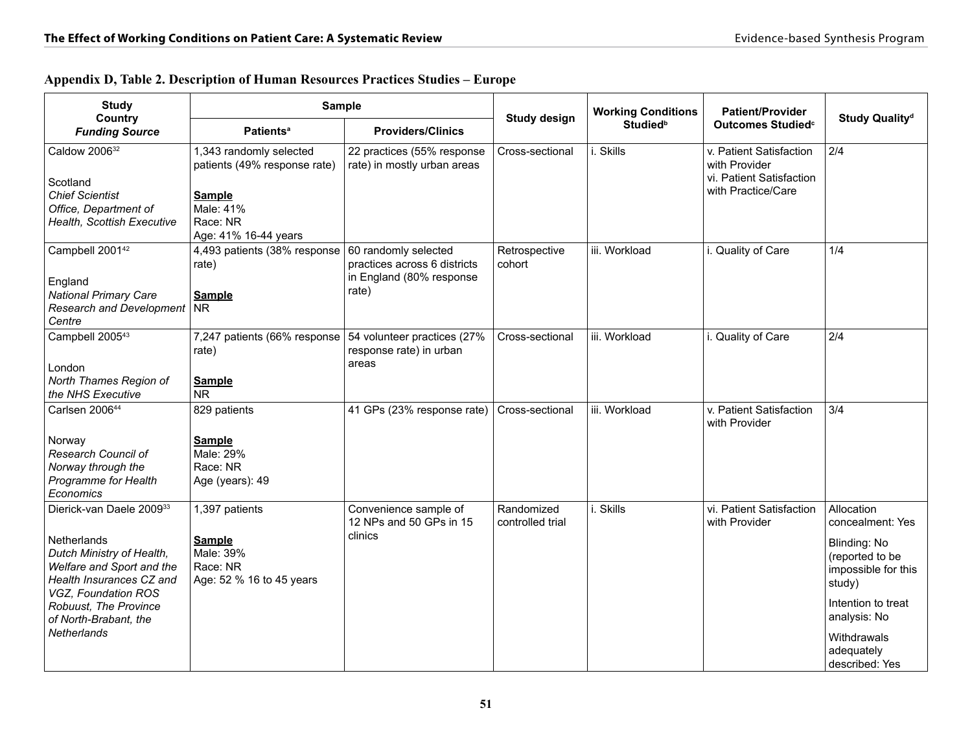| <b>Study</b>                                   | <b>Sample</b>                                           |                                                           |                                | <b>Working Conditions</b>   | <b>Patient/Provider</b>                   |                                             |
|------------------------------------------------|---------------------------------------------------------|-----------------------------------------------------------|--------------------------------|-----------------------------|-------------------------------------------|---------------------------------------------|
| Country<br><b>Funding Source</b>               | <b>Patients<sup>a</sup></b>                             | <b>Providers/Clinics</b>                                  | <b>Study design</b>            | <b>Studied</b> <sup>b</sup> | Outcomes Studied <sup>c</sup>             | Study Quality <sup>d</sup>                  |
| Caldow 200632                                  | 1,343 randomly selected<br>patients (49% response rate) | 22 practices (55% response<br>rate) in mostly urban areas | Cross-sectional                | Skills                      | v. Patient Satisfaction<br>with Provider  | 2/4                                         |
| Scotland                                       |                                                         |                                                           |                                |                             | vi. Patient Satisfaction                  |                                             |
| <b>Chief Scientist</b>                         | <b>Sample</b>                                           |                                                           |                                |                             | with Practice/Care                        |                                             |
| Office, Department of                          | Male: 41%                                               |                                                           |                                |                             |                                           |                                             |
| Health, Scottish Executive                     | Race: NR                                                |                                                           |                                |                             |                                           |                                             |
|                                                | Age: 41% 16-44 years                                    |                                                           |                                |                             |                                           |                                             |
| Campbell 2001 <sup>42</sup>                    | 4,493 patients (38% response<br>rate)                   | 60 randomly selected<br>practices across 6 districts      | Retrospective<br>cohort        | iii. Workload               | i. Quality of Care                        | 1/4                                         |
| England                                        |                                                         | in England (80% response                                  |                                |                             |                                           |                                             |
| <b>National Primary Care</b>                   | <b>Sample</b>                                           | rate)                                                     |                                |                             |                                           |                                             |
| <b>Research and Development</b>                | <b>NR</b>                                               |                                                           |                                |                             |                                           |                                             |
| Centre                                         |                                                         |                                                           |                                |                             |                                           |                                             |
| Campbell 2005 <sup>43</sup>                    | 7,247 patients (66% response<br>rate)                   | 54 volunteer practices (27%<br>response rate) in urban    | Cross-sectional                | iii. Workload               | i. Quality of Care                        | 2/4                                         |
| London                                         |                                                         | areas                                                     |                                |                             |                                           |                                             |
| North Thames Region of                         | <b>Sample</b>                                           |                                                           |                                |                             |                                           |                                             |
| the NHS Executive                              | <b>NR</b>                                               |                                                           |                                |                             |                                           |                                             |
| Carlsen 200644                                 | 829 patients                                            | 41 GPs (23% response rate)                                | Cross-sectional                | iii. Workload               | v. Patient Satisfaction<br>with Provider  | 3/4                                         |
| Norway                                         | <b>Sample</b>                                           |                                                           |                                |                             |                                           |                                             |
| Research Council of                            | Male: 29%                                               |                                                           |                                |                             |                                           |                                             |
| Norway through the                             | Race: NR                                                |                                                           |                                |                             |                                           |                                             |
| Programme for Health                           | Age (years): 49                                         |                                                           |                                |                             |                                           |                                             |
| Economics                                      |                                                         |                                                           |                                |                             |                                           |                                             |
| Dierick-van Daele 200933                       | 1,397 patients                                          | Convenience sample of<br>12 NPs and 50 GPs in 15          | Randomized<br>controlled trial | i. Skills                   | vi. Patient Satisfaction<br>with Provider | Allocation<br>concealment: Yes              |
| Netherlands                                    | <b>Sample</b>                                           | clinics                                                   |                                |                             |                                           | Blinding: No                                |
| Dutch Ministry of Health,                      | Male: 39%                                               |                                                           |                                |                             |                                           | (reported to be                             |
| Welfare and Sport and the                      | Race: NR                                                |                                                           |                                |                             |                                           | impossible for this                         |
| Health Insurances CZ and                       | Age: 52 % 16 to 45 years                                |                                                           |                                |                             |                                           | study)                                      |
| VGZ, Foundation ROS                            |                                                         |                                                           |                                |                             |                                           |                                             |
| Robuust, The Province<br>of North-Brabant, the |                                                         |                                                           |                                |                             |                                           | Intention to treat<br>analysis: No          |
| Netherlands                                    |                                                         |                                                           |                                |                             |                                           | Withdrawals<br>adequately<br>described: Yes |

#### **Appendix D, Table 2. Description of Human Resources Practices Studies – Europe**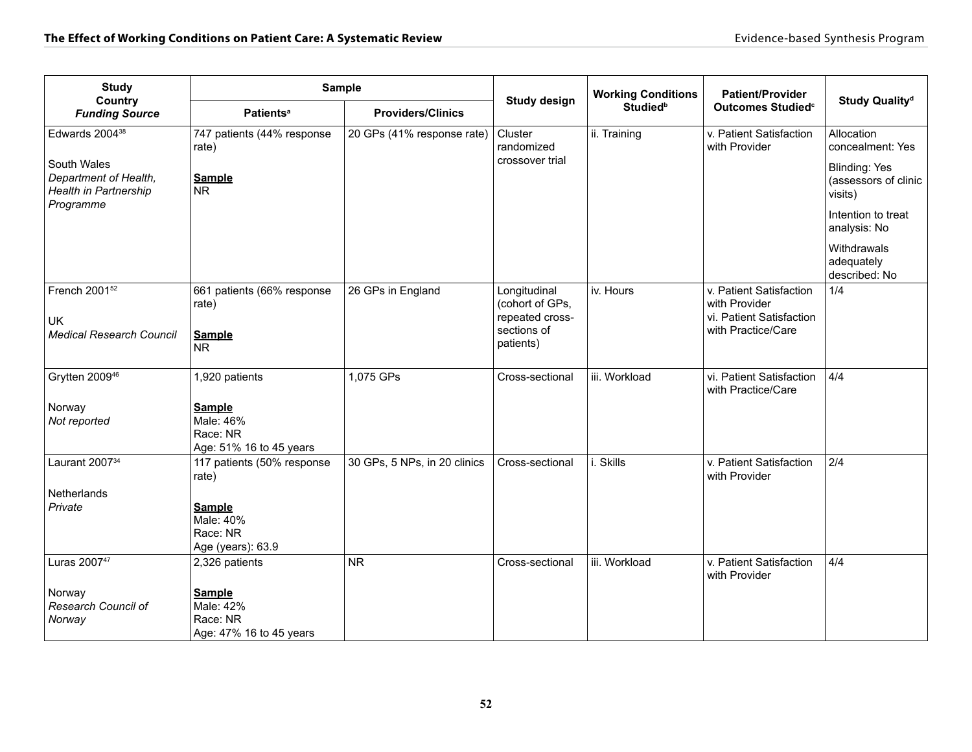| <b>Study</b><br>Country                                       | <b>Sample</b>                                                     |                                             | <b>Study design</b>                                | <b>Working Conditions</b> | <b>Patient/Provider</b>                                              | Study Quality <sup>d</sup>                              |
|---------------------------------------------------------------|-------------------------------------------------------------------|---------------------------------------------|----------------------------------------------------|---------------------------|----------------------------------------------------------------------|---------------------------------------------------------|
| <b>Funding Source</b>                                         | <b>Patients<sup>a</sup></b>                                       | <b>Studiedb</b><br><b>Providers/Clinics</b> |                                                    |                           | Outcomes Studied <sup>c</sup>                                        |                                                         |
| Edwards 2004 <sup>38</sup>                                    | 747 patients (44% response<br>rate)                               | 20 GPs (41% response rate)                  | Cluster<br>randomized                              | ii. Training              | v. Patient Satisfaction<br>with Provider                             | Allocation<br>concealment: Yes                          |
| South Wales<br>Department of Health,<br>Health in Partnership | <b>Sample</b><br><b>NR</b>                                        |                                             | crossover trial                                    |                           |                                                                      | <b>Blinding: Yes</b><br>(assessors of clinic<br>visits) |
| Programme                                                     |                                                                   |                                             |                                                    |                           |                                                                      | Intention to treat<br>analysis: No                      |
|                                                               |                                                                   |                                             |                                                    |                           |                                                                      | Withdrawals<br>adequately<br>described: No              |
| French 2001 <sup>52</sup><br><b>UK</b>                        | 661 patients (66% response<br>rate)                               | 26 GPs in England                           | Longitudinal<br>(cohort of GPs,<br>repeated cross- | iv. Hours                 | v. Patient Satisfaction<br>with Provider<br>vi. Patient Satisfaction | 1/4                                                     |
| <b>Medical Research Council</b>                               | <b>Sample</b><br><b>NR</b>                                        |                                             | sections of<br>patients)                           |                           | with Practice/Care                                                   |                                                         |
| Grytten 2009 <sup>46</sup>                                    | 1,920 patients                                                    | 1,075 GPs                                   | Cross-sectional                                    | iii. Workload             | vi. Patient Satisfaction<br>with Practice/Care                       | 4/4                                                     |
| Norway<br>Not reported                                        | <b>Sample</b><br>Male: 46%<br>Race: NR<br>Age: 51% 16 to 45 years |                                             |                                                    |                           |                                                                      |                                                         |
| Laurant 2007 <sup>34</sup>                                    | 117 patients (50% response<br>rate)                               | 30 GPs, 5 NPs, in 20 clinics                | Cross-sectional                                    | i. Skills                 | v. Patient Satisfaction<br>with Provider                             | 2/4                                                     |
| Netherlands                                                   |                                                                   |                                             |                                                    |                           |                                                                      |                                                         |
| Private                                                       | <b>Sample</b><br>Male: 40%<br>Race: NR<br>Age (years): 63.9       |                                             |                                                    |                           |                                                                      |                                                         |
| Luras 200747                                                  | 2,326 patients                                                    | <b>NR</b>                                   | Cross-sectional                                    | iii. Workload             | v. Patient Satisfaction<br>with Provider                             | 4/4                                                     |
| Norway<br>Research Council of<br>Norway                       | <b>Sample</b><br>Male: 42%<br>Race: NR<br>Age: 47% 16 to 45 years |                                             |                                                    |                           |                                                                      |                                                         |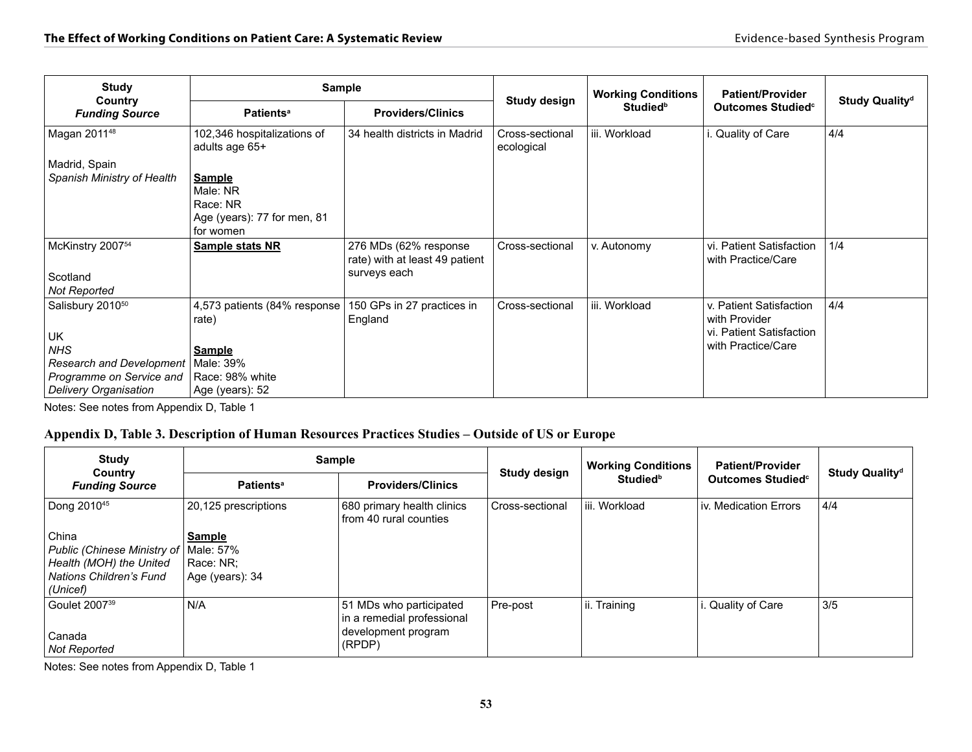| <b>Study</b>                                                                                                                                    | <b>Sample</b>                                                                                              |                                                                         |                               | <b>Working Conditions</b>   | <b>Patient/Provider</b>                                                                    |                            |
|-------------------------------------------------------------------------------------------------------------------------------------------------|------------------------------------------------------------------------------------------------------------|-------------------------------------------------------------------------|-------------------------------|-----------------------------|--------------------------------------------------------------------------------------------|----------------------------|
| Country<br><b>Funding Source</b>                                                                                                                | <b>Patients<sup>a</sup></b>                                                                                | <b>Providers/Clinics</b>                                                | Study design                  | <b>Studied</b> <sup>b</sup> | Outcomes Studied <sup>c</sup>                                                              | Study Quality <sup>d</sup> |
| Magan 201148                                                                                                                                    | 102,346 hospitalizations of<br>adults age 65+                                                              | 34 health districts in Madrid                                           | Cross-sectional<br>ecological | iii. Workload               | Quality of Care                                                                            | 4/4                        |
| Madrid, Spain                                                                                                                                   |                                                                                                            |                                                                         |                               |                             |                                                                                            |                            |
| Spanish Ministry of Health                                                                                                                      | <b>Sample</b><br>Male: NR<br>Race: NR<br>Age (years): 77 for men, 81<br>for women                          |                                                                         |                               |                             |                                                                                            |                            |
| McKinstry 2007 <sup>54</sup><br>Scotland<br><b>Not Reported</b>                                                                                 | <b>Sample stats NR</b>                                                                                     | 276 MDs (62% response<br>rate) with at least 49 patient<br>surveys each | Cross-sectional               | v. Autonomy                 | vi. Patient Satisfaction<br>with Practice/Care                                             | 1/4                        |
| Salisbury 2010 <sup>50</sup><br><b>UK</b><br><b>NHS</b><br><b>Research and Development</b><br>Programme on Service and<br>Delivery Organisation | 4,573 patients (84% response)<br>rate)<br><b>Sample</b><br>Male: 39%<br>Race: 98% white<br>Age (years): 52 | 150 GPs in 27 practices in<br>England                                   | Cross-sectional               | iii. Workload               | v. Patient Satisfaction<br>with Provider<br>vi. Patient Satisfaction<br>with Practice/Care | 4/4                        |

Notes: See notes from Appendix D, Table 1

### **Appendix D, Table 3. Description of Human Resources Practices Studies – Outside of US or Europe**

| <b>Study</b><br>Country                                                                                                   | <b>Sample</b>                                 |                                                                                        | Study design    | <b>Working Conditions</b>   | <b>Patient/Provider</b>       | Study Quality <sup>d</sup> |
|---------------------------------------------------------------------------------------------------------------------------|-----------------------------------------------|----------------------------------------------------------------------------------------|-----------------|-----------------------------|-------------------------------|----------------------------|
| <b>Funding Source</b>                                                                                                     | <b>Patients<sup>a</sup></b>                   | <b>Providers/Clinics</b>                                                               |                 | <b>Studied</b> <sup>b</sup> | Outcomes Studied <sup>c</sup> |                            |
| Dong 2010 <sup>45</sup>                                                                                                   | 20,125 prescriptions                          | 680 primary health clinics<br>from 40 rural counties                                   | Cross-sectional | liii. Workload              | iv. Medication Errors         | 4/4                        |
| China<br>Public (Chinese Ministry of   Male: 57%<br>Health (MOH) the United<br><b>Nations Children's Fund</b><br>(Unicef) | <b>Sample</b><br>Race: NR:<br>Age (years): 34 |                                                                                        |                 |                             |                               |                            |
| Goulet 2007 <sup>39</sup><br>Canada<br><b>Not Reported</b>                                                                | N/A                                           | 51 MDs who participated<br>in a remedial professional<br>development program<br>(RPDP) | Pre-post        | ii. Training                | i. Quality of Care            | 3/5                        |

Notes: See notes from Appendix D, Table 1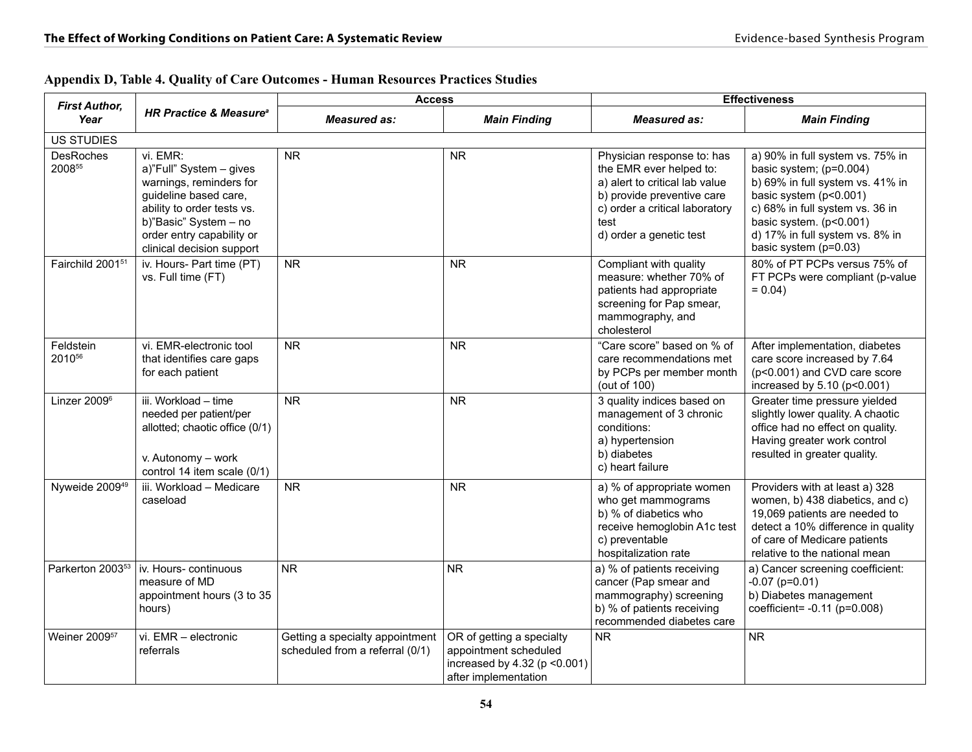| <b>First Author,</b>            |                                                                                                                                                                                                          | <b>Access</b>                                                      |                                                                                                             | <b>Effectiveness</b>                                                                                                                                                                       |                                                                                                                                                                                                                                                     |
|---------------------------------|----------------------------------------------------------------------------------------------------------------------------------------------------------------------------------------------------------|--------------------------------------------------------------------|-------------------------------------------------------------------------------------------------------------|--------------------------------------------------------------------------------------------------------------------------------------------------------------------------------------------|-----------------------------------------------------------------------------------------------------------------------------------------------------------------------------------------------------------------------------------------------------|
| Year                            | <b>HR Practice &amp; Measure<sup>®</sup></b>                                                                                                                                                             | <b>Measured as:</b>                                                | <b>Main Finding</b>                                                                                         | <b>Measured as:</b>                                                                                                                                                                        | <b>Main Finding</b>                                                                                                                                                                                                                                 |
| <b>US STUDIES</b>               |                                                                                                                                                                                                          |                                                                    |                                                                                                             |                                                                                                                                                                                            |                                                                                                                                                                                                                                                     |
| <b>DesRoches</b><br>200855      | vi. EMR:<br>a)"Full" System - gives<br>warnings, reminders for<br>guideline based care,<br>ability to order tests vs.<br>b)"Basic" System - no<br>order entry capability or<br>clinical decision support | <b>NR</b>                                                          | <b>NR</b>                                                                                                   | Physician response to: has<br>the EMR ever helped to:<br>a) alert to critical lab value<br>b) provide preventive care<br>c) order a critical laboratory<br>test<br>d) order a genetic test | a) 90% in full system vs. 75% in<br>basic system; (p=0.004)<br>b) 69% in full system vs. 41% in<br>basic system (p<0.001)<br>c) 68% in full system vs. 36 in<br>basic system. (p<0.001)<br>d) 17% in full system vs. 8% in<br>basic system (p=0.03) |
| Fairchild 2001 <sup>51</sup>    | iv. Hours- Part time (PT)<br>vs. Full time (FT)                                                                                                                                                          | <b>NR</b>                                                          | <b>NR</b>                                                                                                   | Compliant with quality<br>measure: whether 70% of<br>patients had appropriate<br>screening for Pap smear,<br>mammography, and<br>cholesterol                                               | 80% of PT PCPs versus 75% of<br>FT PCPs were compliant (p-value<br>$= 0.04$                                                                                                                                                                         |
| Feldstein<br>2010 <sup>56</sup> | vi. EMR-electronic tool<br>that identifies care gaps<br>for each patient                                                                                                                                 | <b>NR</b>                                                          | <b>NR</b>                                                                                                   | "Care score" based on % of<br>care recommendations met<br>by PCPs per member month<br>(out of 100)                                                                                         | After implementation, diabetes<br>care score increased by 7.64<br>(p<0.001) and CVD care score<br>increased by 5.10 (p<0.001)                                                                                                                       |
| Linzer 2009 <sup>6</sup>        | iii. Workload - time<br>needed per patient/per<br>allotted; chaotic office (0/1)<br>v. Autonomy - work<br>control 14 item scale (0/1)                                                                    | N <sub>R</sub>                                                     | <b>NR</b>                                                                                                   | 3 quality indices based on<br>management of 3 chronic<br>conditions:<br>a) hypertension<br>b) diabetes<br>c) heart failure                                                                 | Greater time pressure yielded<br>slightly lower quality. A chaotic<br>office had no effect on quality.<br>Having greater work control<br>resulted in greater quality.                                                                               |
| Nyweide 2009 <sup>49</sup>      | iii. Workload - Medicare<br>caseload                                                                                                                                                                     | <b>NR</b>                                                          | <b>NR</b>                                                                                                   | a) % of appropriate women<br>who get mammograms<br>b) % of diabetics who<br>receive hemoglobin A1c test<br>c) preventable<br>hospitalization rate                                          | Providers with at least a) 328<br>women, b) 438 diabetics, and c)<br>19,069 patients are needed to<br>detect a 10% difference in quality<br>of care of Medicare patients<br>relative to the national mean                                           |
| Parkerton 2003 <sup>53</sup>    | iv. Hours- continuous<br>measure of MD<br>appointment hours (3 to 35<br>hours)                                                                                                                           | N <sub>R</sub>                                                     | <b>NR</b>                                                                                                   | a) % of patients receiving<br>cancer (Pap smear and<br>mammography) screening<br>b) % of patients receiving<br>recommended diabetes care                                                   | a) Cancer screening coefficient:<br>$-0.07$ (p=0.01)<br>b) Diabetes management<br>coefficient= -0.11 (p=0.008)                                                                                                                                      |
| Weiner 2009 <sup>57</sup>       | vi. EMR - electronic<br>referrals                                                                                                                                                                        | Getting a specialty appointment<br>scheduled from a referral (0/1) | OR of getting a specialty<br>appointment scheduled<br>increased by 4.32 (p < 0.001)<br>after implementation | NR.                                                                                                                                                                                        | <b>NR</b>                                                                                                                                                                                                                                           |

### **Appendix D, Table 4. Quality of Care Outcomes - Human Resources Practices Studies**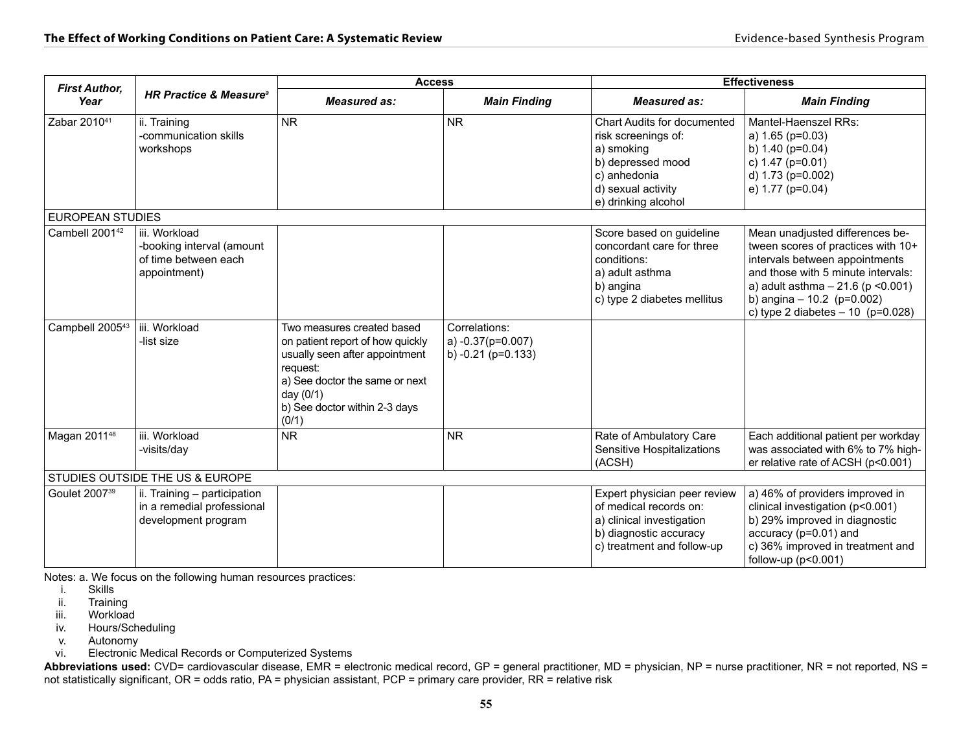| <b>First Author,</b>        |                                                                                    | <b>Access</b>                                                                                                                                                                                         |                                                            | <b>Effectiveness</b>                                                                                                                                      |                                                                                                                                                                                                                                                            |
|-----------------------------|------------------------------------------------------------------------------------|-------------------------------------------------------------------------------------------------------------------------------------------------------------------------------------------------------|------------------------------------------------------------|-----------------------------------------------------------------------------------------------------------------------------------------------------------|------------------------------------------------------------------------------------------------------------------------------------------------------------------------------------------------------------------------------------------------------------|
| Year                        | <b>HR Practice &amp; Measure<sup>®</sup></b>                                       | <b>Measured as:</b>                                                                                                                                                                                   | <b>Main Finding</b>                                        | <b>Measured as:</b>                                                                                                                                       | <b>Main Finding</b>                                                                                                                                                                                                                                        |
| Zabar 2010 <sup>41</sup>    | ii. Training<br>-communication skills<br>workshops                                 | <b>NR</b>                                                                                                                                                                                             | <b>NR</b>                                                  | <b>Chart Audits for documented</b><br>risk screenings of:<br>a) smoking<br>b) depressed mood<br>c) anhedonia<br>d) sexual activity<br>e) drinking alcohol | Mantel-Haenszel RRs:<br>a) 1.65 (p=0.03)<br>b) $1.40$ (p=0.04)<br>c) $1.47$ ( $p=0.01$ )<br>d) 1.73 (p=0.002)<br>e) 1.77 (p=0.04)                                                                                                                          |
| <b>EUROPEAN STUDIES</b>     |                                                                                    |                                                                                                                                                                                                       |                                                            |                                                                                                                                                           |                                                                                                                                                                                                                                                            |
| Cambell 2001 <sup>42</sup>  | iii. Workload<br>-booking interval (amount<br>of time between each<br>appointment) |                                                                                                                                                                                                       |                                                            | Score based on guideline<br>concordant care for three<br>conditions:<br>a) adult asthma<br>b) angina<br>c) type 2 diabetes mellitus                       | Mean unadjusted differences be-<br>tween scores of practices with 10+<br>intervals between appointments<br>and those with 5 minute intervals:<br>a) adult asthma $-21.6$ (p < 0.001)<br>b) angina $-10.2$ (p=0.002)<br>c) type 2 diabetes $- 10$ (p=0.028) |
| Campbell 2005 <sup>43</sup> | iii. Workload<br>-list size                                                        | Two measures created based<br>on patient report of how quickly<br>usually seen after appointment<br>request:<br>a) See doctor the same or next<br>day (0/1)<br>b) See doctor within 2-3 days<br>(0/1) | Correlations:<br>a) -0.37(p=0.007)<br>b) $-0.21$ (p=0.133) |                                                                                                                                                           |                                                                                                                                                                                                                                                            |
| Magan 201148                | iii. Workload<br>-visits/day                                                       | <b>NR</b>                                                                                                                                                                                             | <b>NR</b>                                                  | Rate of Ambulatory Care<br>Sensitive Hospitalizations<br>(ACSH)                                                                                           | Each additional patient per workday<br>was associated with 6% to 7% high-<br>er relative rate of ACSH (p<0.001)                                                                                                                                            |
|                             | STUDIES OUTSIDE THE US & EUROPE                                                    |                                                                                                                                                                                                       |                                                            |                                                                                                                                                           |                                                                                                                                                                                                                                                            |
| Goulet 2007 <sup>39</sup>   | ii. Training - participation<br>in a remedial professional<br>development program  |                                                                                                                                                                                                       |                                                            | Expert physician peer review<br>of medical records on:<br>a) clinical investigation<br>b) diagnostic accuracy<br>c) treatment and follow-up               | a) 46% of providers improved in<br>clinical investigation (p<0.001)<br>b) 29% improved in diagnostic<br>accuracy (p=0.01) and<br>c) 36% improved in treatment and<br>follow-up ( $p<0.001$ )                                                               |

Notes: a. We focus on the following human resources practices:

- i. Skills
- ii. Training<br>iii. Workload
- Workload
- iv. Hours/Scheduling
- v. Autonomy<br>vi. Electronic l
- Electronic Medical Records or Computerized Systems

Abbreviations used: CVD= cardiovascular disease, EMR = electronic medical record, GP = general practitioner, MD = physician, NP = nurse practitioner, NR = not reported, NS = not statistically significant, OR = odds ratio, PA = physician assistant, PCP = primary care provider, RR = relative risk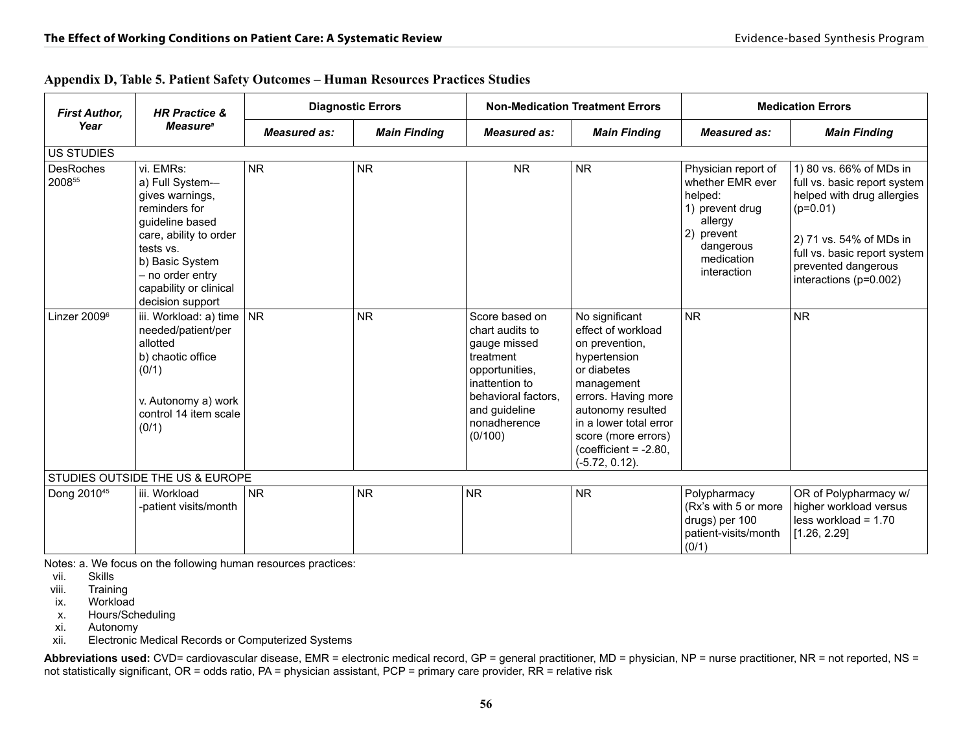| <b>HR Practice &amp;</b><br><b>First Author,</b> |                                                                                                                                                                                                                 | <b>Diagnostic Errors</b> |                     | <b>Non-Medication Treatment Errors</b>                                                                                                                                |                                                                                                                                                                                                                                                 | <b>Medication Errors</b>                                                                                                                 |                                                                                                                                                                                                                 |
|--------------------------------------------------|-----------------------------------------------------------------------------------------------------------------------------------------------------------------------------------------------------------------|--------------------------|---------------------|-----------------------------------------------------------------------------------------------------------------------------------------------------------------------|-------------------------------------------------------------------------------------------------------------------------------------------------------------------------------------------------------------------------------------------------|------------------------------------------------------------------------------------------------------------------------------------------|-----------------------------------------------------------------------------------------------------------------------------------------------------------------------------------------------------------------|
| Year                                             | <b>Measure</b> <sup>a</sup>                                                                                                                                                                                     | <b>Measured as:</b>      | <b>Main Finding</b> | <b>Measured as:</b>                                                                                                                                                   | <b>Main Finding</b>                                                                                                                                                                                                                             | <b>Measured as:</b>                                                                                                                      | <b>Main Finding</b>                                                                                                                                                                                             |
| <b>US STUDIES</b>                                |                                                                                                                                                                                                                 |                          |                     |                                                                                                                                                                       |                                                                                                                                                                                                                                                 |                                                                                                                                          |                                                                                                                                                                                                                 |
| <b>DesRoches</b><br>200855                       | vi. EMRs:<br>a) Full System-<br>gives warnings,<br>reminders for<br>guideline based<br>care, ability to order<br>tests vs.<br>b) Basic System<br>- no order entry<br>capability or clinical<br>decision support | <b>NR</b>                | <b>NR</b>           | <b>NR</b>                                                                                                                                                             | <b>NR</b>                                                                                                                                                                                                                                       | Physician report of<br>whether EMR ever<br>helped:<br>1) prevent drug<br>allergy<br>2) prevent<br>dangerous<br>medication<br>interaction | 1) 80 vs. 66% of MDs in<br>full vs. basic report system<br>helped with drug allergies<br>$(p=0.01)$<br>2) 71 vs. 54% of MDs in<br>full vs. basic report system<br>prevented dangerous<br>interactions (p=0.002) |
| Linzer 2009 <sup>6</sup>                         | iii. Workload: a) time $ NR $<br>needed/patient/per<br>allotted<br>b) chaotic office<br>(0/1)<br>v. Autonomy a) work<br>control 14 item scale<br>(0/1)                                                          |                          | <b>NR</b>           | Score based on<br>chart audits to<br>gauge missed<br>treatment<br>opportunities,<br>inattention to<br>behavioral factors.<br>and guideline<br>nonadherence<br>(0/100) | No significant<br>effect of workload<br>on prevention,<br>hypertension<br>or diabetes<br>management<br>errors. Having more<br>autonomy resulted<br>in a lower total error<br>score (more errors)<br>$(coefficient = -2.80,$<br>$(-5.72, 0.12).$ | <b>NR</b>                                                                                                                                | <b>NR</b>                                                                                                                                                                                                       |
|                                                  | STUDIES OUTSIDE THE US & EUROPE                                                                                                                                                                                 |                          |                     |                                                                                                                                                                       |                                                                                                                                                                                                                                                 |                                                                                                                                          |                                                                                                                                                                                                                 |
| Dong 2010 <sup>45</sup>                          | iii. Workload<br>-patient visits/month                                                                                                                                                                          | <b>NR</b>                | <b>NR</b>           | <b>NR</b>                                                                                                                                                             | <b>NR</b>                                                                                                                                                                                                                                       | Polypharmacy<br>(Rx's with 5 or more<br>drugs) per 100<br>patient-visits/month<br>(0/1)                                                  | OR of Polypharmacy w/<br>higher workload versus<br>$less$ workload = 1.70<br>[1.26, 2.29]                                                                                                                       |

|  | Appendix D, Table 5. Patient Safety Outcomes – Human Resources Practices Studies |  |  |  |
|--|----------------------------------------------------------------------------------|--|--|--|
|  |                                                                                  |  |  |  |

Notes: a. We focus on the following human resources practices:

- Skills
- viii. Training
- ix. Workload
- x. Hours/Scheduling<br>xi. Autonomy
- xi. Autonomy<br>xii. Electronic l
- Electronic Medical Records or Computerized Systems

Abbreviations used: CVD= cardiovascular disease, EMR = electronic medical record, GP = general practitioner, MD = physician, NP = nurse practitioner, NR = not reported, NS = not statistically significant, OR = odds ratio, PA = physician assistant, PCP = primary care provider, RR = relative risk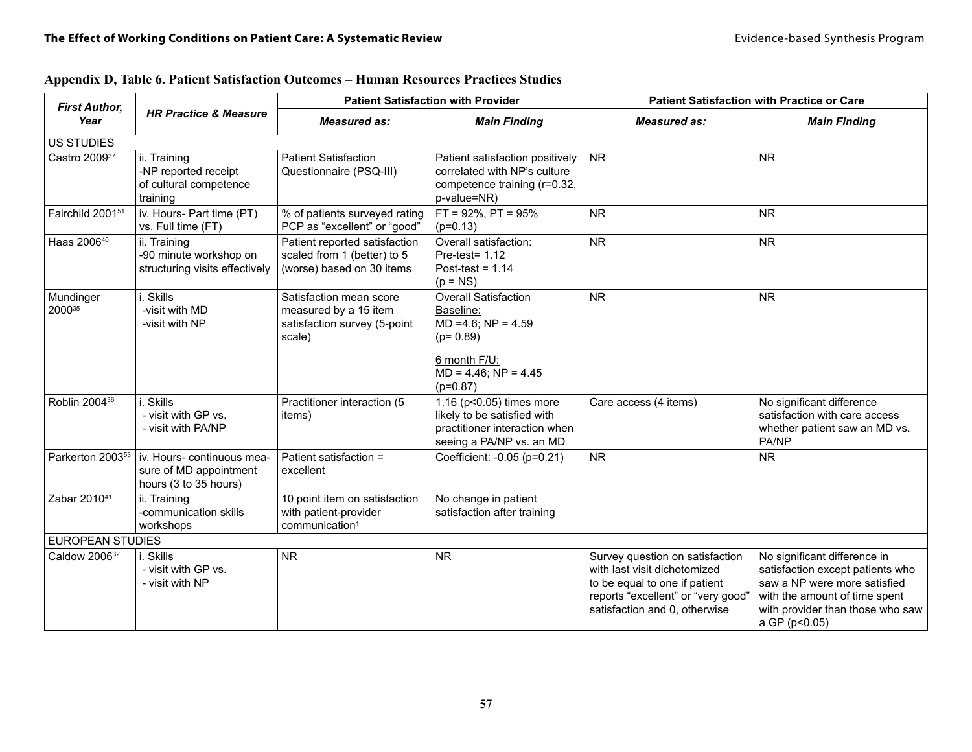| <b>First Author,</b>         |                                                                               |                                                                                            | <b>Patient Satisfaction with Provider</b>                                                                                                     |                                                                                                                                                                         | <b>Patient Satisfaction with Practice or Care</b>                                                                                                                                      |  |
|------------------------------|-------------------------------------------------------------------------------|--------------------------------------------------------------------------------------------|-----------------------------------------------------------------------------------------------------------------------------------------------|-------------------------------------------------------------------------------------------------------------------------------------------------------------------------|----------------------------------------------------------------------------------------------------------------------------------------------------------------------------------------|--|
| Year                         | <b>HR Practice &amp; Measure</b>                                              | <b>Measured as:</b>                                                                        | <b>Main Finding</b>                                                                                                                           | <b>Measured as:</b>                                                                                                                                                     | <b>Main Finding</b>                                                                                                                                                                    |  |
| US STUDIES                   |                                                                               |                                                                                            |                                                                                                                                               |                                                                                                                                                                         |                                                                                                                                                                                        |  |
| Castro 200937                | ii. Training<br>-NP reported receipt<br>of cultural competence<br>training    | <b>Patient Satisfaction</b><br>Questionnaire (PSQ-III)                                     | Patient satisfaction positively<br>correlated with NP's culture<br>competence training (r=0.32,<br>p-value=NR)                                | <b>NR</b>                                                                                                                                                               | <b>NR</b>                                                                                                                                                                              |  |
| Fairchild 2001 <sup>51</sup> | iv. Hours- Part time (PT)<br>vs. Full time (FT)                               | % of patients surveyed rating<br>PCP as "excellent" or "good"                              | $FT = 92\%$ , $PT = 95\%$<br>$(p=0.13)$                                                                                                       | <b>NR</b>                                                                                                                                                               | N <sub>R</sub>                                                                                                                                                                         |  |
| Haas 200640                  | ii. Training<br>-90 minute workshop on<br>structuring visits effectively      | Patient reported satisfaction<br>scaled from 1 (better) to 5<br>(worse) based on 30 items  | Overall satisfaction:<br>Pre-test= $1.12$<br>Post-test = $1.14$<br>$(p = NS)$                                                                 | <b>NR</b>                                                                                                                                                               | <b>NR</b>                                                                                                                                                                              |  |
| Mundinger<br>200035          | i. Skills<br>-visit with MD<br>-visit with NP                                 | Satisfaction mean score<br>measured by a 15 item<br>satisfaction survey (5-point<br>scale) | <b>Overall Satisfaction</b><br>Baseline:<br>$MD = 4.6$ ; $NP = 4.59$<br>$(p=0.89)$<br>6 month F/U:<br>$MD = 4.46$ ; $NP = 4.45$<br>$(p=0.87)$ | <b>NR</b>                                                                                                                                                               | <b>NR</b>                                                                                                                                                                              |  |
| Roblin 2004 <sup>36</sup>    | i. Skills<br>- visit with GP vs.<br>- visit with PA/NP                        | Practitioner interaction (5<br>items)                                                      | 1.16 (p<0.05) times more<br>likely to be satisfied with<br>practitioner interaction when<br>seeing a PA/NP vs. an MD                          | Care access (4 items)                                                                                                                                                   | No significant difference<br>satisfaction with care access<br>whether patient saw an MD vs.<br>PA/NP                                                                                   |  |
| Parkerton 2003 <sup>53</sup> | iv. Hours- continuous mea-<br>sure of MD appointment<br>hours (3 to 35 hours) | Patient satisfaction =<br>excellent                                                        | Coefficient: -0.05 (p=0.21)                                                                                                                   | <b>NR</b>                                                                                                                                                               | <b>NR</b>                                                                                                                                                                              |  |
| Zabar 2010 <sup>41</sup>     | ii. Training<br>-communication skills<br>workshops                            | 10 point item on satisfaction<br>with patient-provider<br>communication <sup>1</sup>       | No change in patient<br>satisfaction after training                                                                                           |                                                                                                                                                                         |                                                                                                                                                                                        |  |
| <b>EUROPEAN STUDIES</b>      |                                                                               |                                                                                            |                                                                                                                                               |                                                                                                                                                                         |                                                                                                                                                                                        |  |
| Caldow 2006 <sup>32</sup>    | i. Skills<br>- visit with GP vs.<br>- visit with NP                           | <b>NR</b>                                                                                  | <b>NR</b>                                                                                                                                     | Survey question on satisfaction<br>with last visit dichotomized<br>to be equal to one if patient<br>reports "excellent" or "very good"<br>satisfaction and 0, otherwise | No significant difference in<br>satisfaction except patients who<br>saw a NP were more satisfied<br>with the amount of time spent<br>with provider than those who saw<br>a GP (p<0.05) |  |

|  | Appendix D, Table 6. Patient Satisfaction Outcomes – Human Resources Practices Studies |
|--|----------------------------------------------------------------------------------------|
|--|----------------------------------------------------------------------------------------|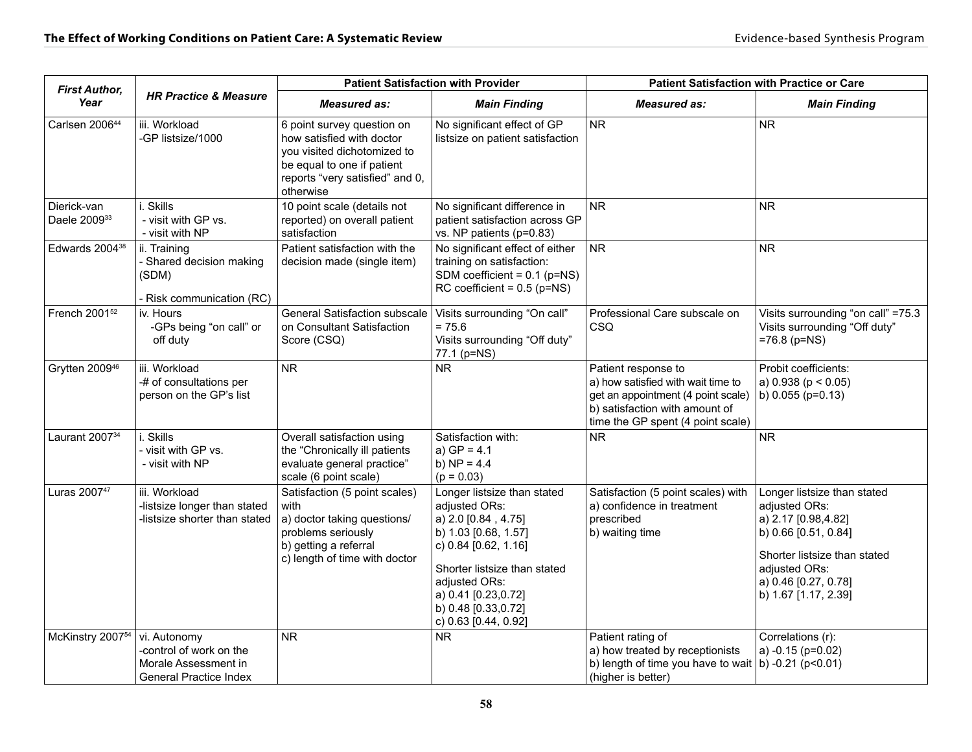| <b>First Author,</b>                    |                                                                                                  | <b>Patient Satisfaction with Provider</b>                                                                                                                            |                                                                                                                                                                                                                                            | <b>Patient Satisfaction with Practice or Care</b>                                                                                                                      |                                                                                                                                                                                              |
|-----------------------------------------|--------------------------------------------------------------------------------------------------|----------------------------------------------------------------------------------------------------------------------------------------------------------------------|--------------------------------------------------------------------------------------------------------------------------------------------------------------------------------------------------------------------------------------------|------------------------------------------------------------------------------------------------------------------------------------------------------------------------|----------------------------------------------------------------------------------------------------------------------------------------------------------------------------------------------|
| Year                                    | <b>HR Practice &amp; Measure</b>                                                                 | <b>Measured as:</b>                                                                                                                                                  | <b>Main Finding</b>                                                                                                                                                                                                                        | Measured as:                                                                                                                                                           | <b>Main Finding</b>                                                                                                                                                                          |
| Carlsen 200644                          | iii. Workload<br>-GP listsize/1000                                                               | 6 point survey question on<br>how satisfied with doctor<br>you visited dichotomized to<br>be equal to one if patient<br>reports "very satisfied" and 0,<br>otherwise | No significant effect of GP<br>listsize on patient satisfaction                                                                                                                                                                            | <b>NR</b>                                                                                                                                                              | <b>NR</b>                                                                                                                                                                                    |
| Dierick-van<br>Daele 2009 <sup>33</sup> | i. Skills<br>- visit with GP vs.<br>- visit with NP                                              | 10 point scale (details not<br>reported) on overall patient<br>satisfaction                                                                                          | No significant difference in<br>patient satisfaction across GP<br>vs. NP patients (p=0.83)                                                                                                                                                 | <b>NR</b>                                                                                                                                                              | <b>NR</b>                                                                                                                                                                                    |
| Edwards 2004 <sup>38</sup>              | ii. Training<br>- Shared decision making<br>(SDM)<br>- Risk communication (RC)                   | Patient satisfaction with the<br>decision made (single item)                                                                                                         | No significant effect of either<br>training on satisfaction:<br>SDM coefficient = $0.1$ (p=NS)<br>RC coefficient = $0.5$ (p=NS)                                                                                                            | <b>NR</b>                                                                                                                                                              | <b>NR</b>                                                                                                                                                                                    |
| French 2001 <sup>52</sup>               | iv. Hours<br>-GPs being "on call" or<br>off duty                                                 | General Satisfaction subscale<br>on Consultant Satisfaction<br>Score (CSQ)                                                                                           | Visits surrounding "On call"<br>$= 75.6$<br>Visits surrounding "Off duty"<br>77.1 (p=NS)                                                                                                                                                   | Professional Care subscale on<br>CSQ                                                                                                                                   | Visits surrounding "on call" =75.3<br>Visits surrounding "Off duty"<br>$=76.8$ (p=NS)                                                                                                        |
| Grytten 2009 <sup>46</sup>              | iii. Workload<br>-# of consultations per<br>person on the GP's list                              | <b>NR</b>                                                                                                                                                            | <b>NR</b>                                                                                                                                                                                                                                  | Patient response to<br>a) how satisfied with wait time to<br>get an appointment (4 point scale)<br>b) satisfaction with amount of<br>time the GP spent (4 point scale) | Probit coefficients:<br>a) $0.938$ ( $p < 0.05$ )<br>b) $0.055$ (p=0.13)                                                                                                                     |
| Laurant 2007 <sup>34</sup>              | i. Skills<br>- visit with GP vs.<br>- visit with NP                                              | Overall satisfaction using<br>the "Chronically ill patients<br>evaluate general practice"<br>scale (6 point scale)                                                   | Satisfaction with:<br>a) $GP = 4.1$<br>b) $NP = 4.4$<br>$(p = 0.03)$                                                                                                                                                                       | <b>NR</b>                                                                                                                                                              | <b>NR</b>                                                                                                                                                                                    |
| Luras 200747                            | iii. Workload<br>-listsize longer than stated<br>-listsize shorter than stated                   | Satisfaction (5 point scales)<br>with<br>a) doctor taking questions/<br>problems seriously<br>b) getting a referral<br>c) length of time with doctor                 | Longer listsize than stated<br>adjusted ORs:<br>a) 2.0 [0.84, 4.75]<br>b) 1.03 [0.68, 1.57]<br>c) 0.84 [0.62, 1.16]<br>Shorter listsize than stated<br>adjusted ORs:<br>a) 0.41 [0.23,0.72]<br>b) 0.48 [0.33,0.72]<br>c) 0.63 [0.44, 0.92] | Satisfaction (5 point scales) with<br>a) confidence in treatment<br>prescribed<br>b) waiting time                                                                      | Longer listsize than stated<br>adjusted ORs:<br>a) 2.17 [0.98,4.82]<br>b) 0.66 [0.51, 0.84]<br>Shorter listsize than stated<br>adjusted ORs:<br>a) 0.46 [0.27, 0.78]<br>b) 1.67 [1.17, 2.39] |
| McKinstry 2007 <sup>54</sup>            | vi. Autonomy<br>-control of work on the<br>Morale Assessment in<br><b>General Practice Index</b> | <b>NR</b>                                                                                                                                                            | <b>NR</b>                                                                                                                                                                                                                                  | Patient rating of<br>a) how treated by receptionists<br>b) length of time you have to wait<br>(higher is better)                                                       | Correlations (r):<br>a) $-0.15$ (p=0.02)<br>b) $-0.21$ (p $< 0.01$ )                                                                                                                         |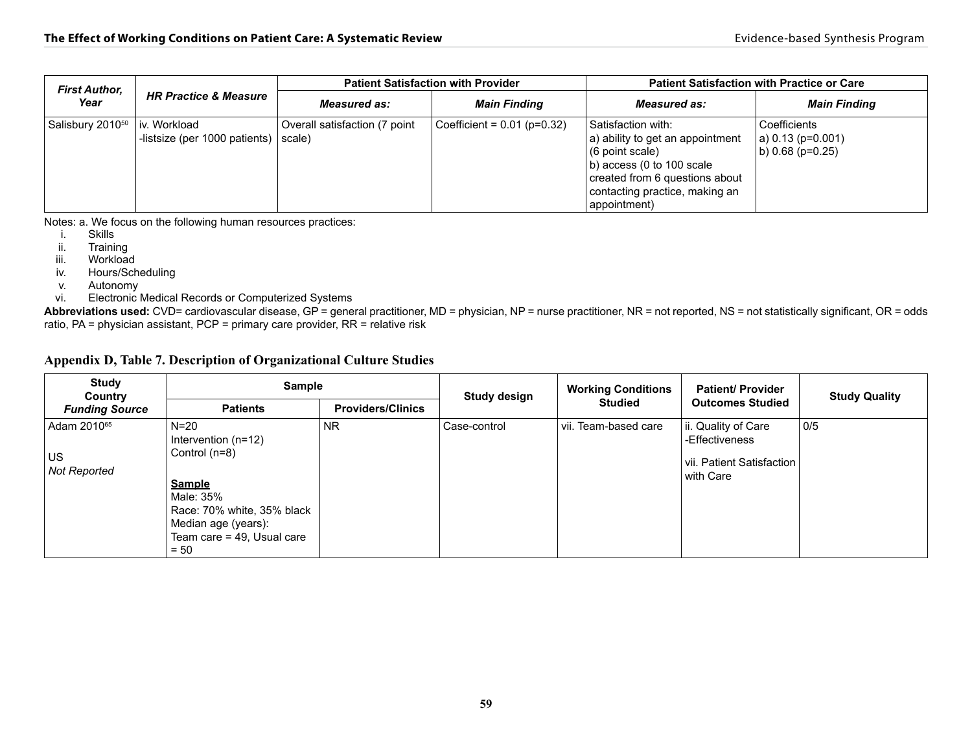| <b>First Author,</b>         | <b>HR Practice &amp; Measure</b>                |                                                  | <b>Patient Satisfaction with Provider</b> | <b>Patient Satisfaction with Practice or Care</b>                                                                                                                                                            |                                                          |  |
|------------------------------|-------------------------------------------------|--------------------------------------------------|-------------------------------------------|--------------------------------------------------------------------------------------------------------------------------------------------------------------------------------------------------------------|----------------------------------------------------------|--|
| Year                         |                                                 | <b>Measured as:</b>                              | <b>Main Finding</b>                       | <b>Measured as:</b>                                                                                                                                                                                          | <b>Main Finding</b>                                      |  |
| Salisbury 2010 <sup>50</sup> | l iv. Workload<br>-listsize (per 1000 patients) | Overall satisfaction (7 point<br>$ scale\rangle$ | $ $ Coefficient = 0.01 (p=0.32)           | Satisfaction with:<br>$ a\rangle$ ability to get an appointment<br>(6 point scale)<br>$ b\rangle$ access (0 to 100 scale<br>created from 6 questions about<br>contacting practice, making an<br>appointment) | Coefficients<br>$ a $ 0.13 (p=0.001)<br>b) 0.68 (p=0.25) |  |

Notes: a. We focus on the following human resources practices:<br>i. Skills

**Skills** 

ii. Training<br>iii. Workload

Workload

iv. Hours/Scheduling

v. Autonomy

vi. Electronic Medical Records or Computerized Systems

**Abbreviations used:** CVD= cardiovascular disease, GP = general practitioner, MD = physician, NP = nurse practitioner, NR = not reported, NS = not statistically significant, OR = odds ratio, PA = physician assistant, PCP = primary care provider, RR = relative risk

| Appendix D, Table 7. Description of Organizational Culture Studies |  |
|--------------------------------------------------------------------|--|
|--------------------------------------------------------------------|--|

| <b>Study</b><br>Country                              | <b>Sample</b>                                                                                                                                                                 |                          | <b>Study design</b> | <b>Working Conditions</b> | <b>Patient/ Provider</b>                                                        | <b>Study Quality</b> |
|------------------------------------------------------|-------------------------------------------------------------------------------------------------------------------------------------------------------------------------------|--------------------------|---------------------|---------------------------|---------------------------------------------------------------------------------|----------------------|
| <b>Funding Source</b>                                | <b>Patients</b>                                                                                                                                                               | <b>Providers/Clinics</b> |                     | <b>Studied</b>            | <b>Outcomes Studied</b>                                                         |                      |
| Adam 2010 <sup>65</sup><br><b>US</b><br>Not Reported | $N=20$<br>Intervention $(n=12)$<br>Control (n=8)<br><b>Sample</b><br>Male: 35%<br>Race: 70% white, 35% black<br>Median age (years):<br>Team care $=$ 49, Usual care<br>$= 50$ | <b>NR</b>                | Case-control        | vii. Team-based care      | ii. Quality of Care<br>-Effectiveness<br>vii. Patient Satisfaction<br>with Care | 0/5                  |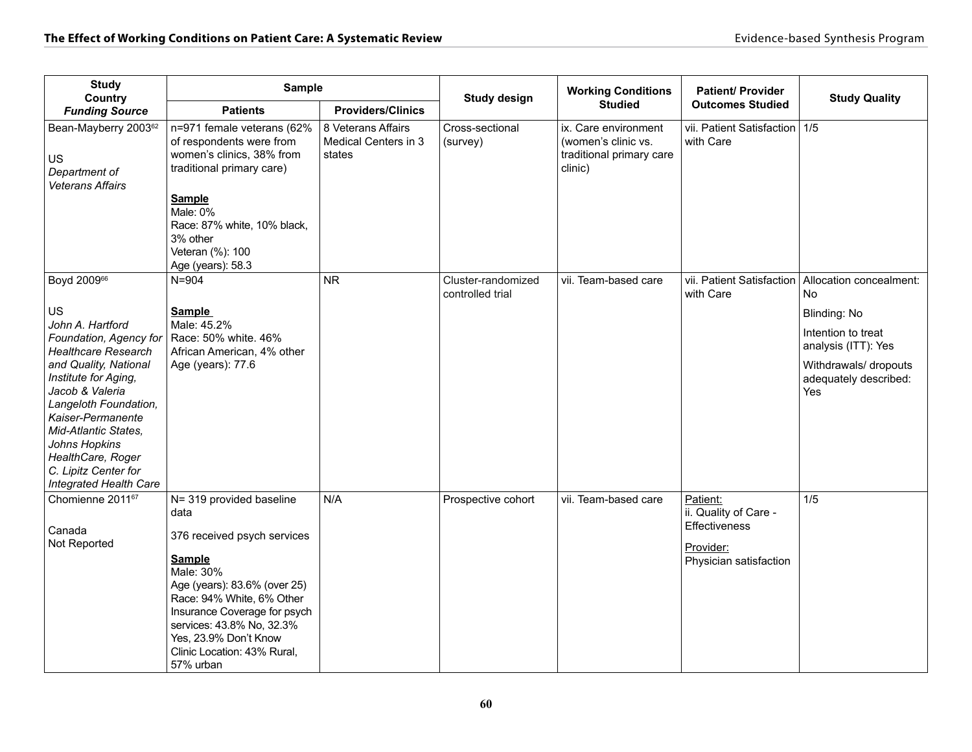| <b>Study</b><br>Country                                                                                                                                                                                                                                                                                                                                   | <b>Sample</b>                                                                                                                                                                                                                                                                                |                                                      | <b>Study design</b>                    | <b>Working Conditions</b>                                                          | <b>Patient/ Provider</b>                                                                  | <b>Study Quality</b>                                                                                                                                                                   |
|-----------------------------------------------------------------------------------------------------------------------------------------------------------------------------------------------------------------------------------------------------------------------------------------------------------------------------------------------------------|----------------------------------------------------------------------------------------------------------------------------------------------------------------------------------------------------------------------------------------------------------------------------------------------|------------------------------------------------------|----------------------------------------|------------------------------------------------------------------------------------|-------------------------------------------------------------------------------------------|----------------------------------------------------------------------------------------------------------------------------------------------------------------------------------------|
| <b>Funding Source</b>                                                                                                                                                                                                                                                                                                                                     | <b>Patients</b>                                                                                                                                                                                                                                                                              | <b>Providers/Clinics</b>                             |                                        | <b>Studied</b>                                                                     | <b>Outcomes Studied</b>                                                                   |                                                                                                                                                                                        |
| Bean-Mayberry 2003 <sup>62</sup><br><b>US</b><br>Department of<br>Veterans Affairs                                                                                                                                                                                                                                                                        | n=971 female veterans (62%<br>of respondents were from<br>women's clinics, 38% from<br>traditional primary care)<br><b>Sample</b><br>Male: 0%<br>Race: 87% white, 10% black,<br>3% other<br>Veteran (%): 100<br>Age (years): 58.3                                                            | 8 Veterans Affairs<br>Medical Centers in 3<br>states | Cross-sectional<br>(survey)            | ix. Care environment<br>(women's clinic vs.<br>traditional primary care<br>clinic) | vii. Patient Satisfaction   1/5<br>with Care                                              |                                                                                                                                                                                        |
| Boyd 2009 <sup>66</sup><br><b>US</b><br>John A. Hartford<br>Foundation, Agency for<br><b>Healthcare Research</b><br>and Quality, National<br>Institute for Aging,<br>Jacob & Valeria<br>Langeloth Foundation,<br>Kaiser-Permanente<br>Mid-Atlantic States.<br><b>Johns Hopkins</b><br>HealthCare, Roger<br>C. Lipitz Center for<br>Integrated Health Care | $N = 904$<br><b>Sample</b><br>Male: 45.2%<br>Race: 50% white. 46%<br>African American, 4% other<br>Age (years): 77.6                                                                                                                                                                         | <b>NR</b>                                            | Cluster-randomized<br>controlled trial | vii. Team-based care                                                               | with Care                                                                                 | vii. Patient Satisfaction   Allocation concealment:<br><b>No</b><br>Blinding: No<br>Intention to treat<br>analysis (ITT): Yes<br>Withdrawals/ dropouts<br>adequately described:<br>Yes |
| Chomienne 201167<br>Canada<br>Not Reported                                                                                                                                                                                                                                                                                                                | N= 319 provided baseline<br>data<br>376 received psych services<br><b>Sample</b><br>Male: 30%<br>Age (years): 83.6% (over 25)<br>Race: 94% White, 6% Other<br>Insurance Coverage for psych<br>services: 43.8% No, 32.3%<br>Yes, 23.9% Don't Know<br>Clinic Location: 43% Rural,<br>57% urban | N/A                                                  | Prospective cohort                     | vii. Team-based care                                                               | Patient:<br>ii. Quality of Care -<br>Effectiveness<br>Provider:<br>Physician satisfaction | 1/5                                                                                                                                                                                    |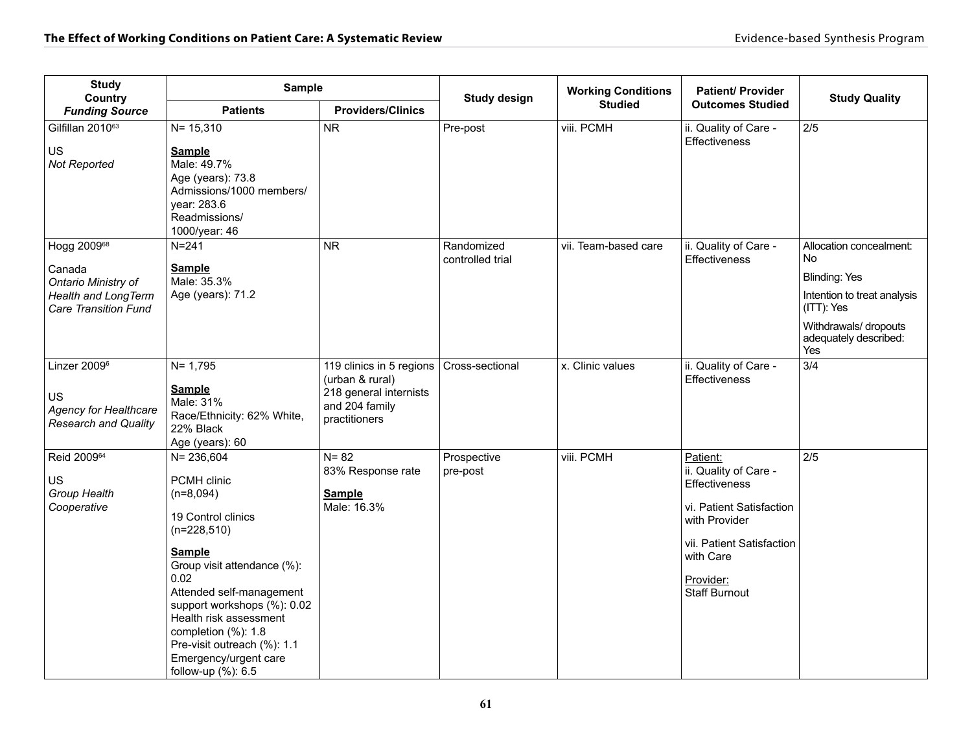| <b>Study</b><br>Country                                                                | <b>Sample</b>                                                                                                                                                                                                                                                                                                                               |                                                                                                          | <b>Study design</b>            | <b>Working Conditions</b> | <b>Patient/ Provider</b>                                                                                                                                                       | <b>Study Quality</b>                                  |
|----------------------------------------------------------------------------------------|---------------------------------------------------------------------------------------------------------------------------------------------------------------------------------------------------------------------------------------------------------------------------------------------------------------------------------------------|----------------------------------------------------------------------------------------------------------|--------------------------------|---------------------------|--------------------------------------------------------------------------------------------------------------------------------------------------------------------------------|-------------------------------------------------------|
| <b>Funding Source</b>                                                                  | <b>Patients</b>                                                                                                                                                                                                                                                                                                                             | <b>Providers/Clinics</b>                                                                                 |                                | <b>Studied</b>            | <b>Outcomes Studied</b>                                                                                                                                                        |                                                       |
| Gilfillan 201063<br><b>US</b>                                                          | $N = 15,310$                                                                                                                                                                                                                                                                                                                                | <b>NR</b>                                                                                                | Pre-post                       | viii. PCMH                | ii. Quality of Care -<br><b>Effectiveness</b>                                                                                                                                  | $2/5$                                                 |
| Not Reported                                                                           | <b>Sample</b><br>Male: 49.7%<br>Age (years): 73.8<br>Admissions/1000 members/<br>year: 283.6<br>Readmissions/<br>1000/year: 46                                                                                                                                                                                                              |                                                                                                          |                                |                           |                                                                                                                                                                                |                                                       |
| Hogg 200968<br>Canada                                                                  | $N = 241$<br><b>Sample</b>                                                                                                                                                                                                                                                                                                                  | <b>NR</b>                                                                                                | Randomized<br>controlled trial | vii. Team-based care      | ii. Quality of Care -<br>Effectiveness                                                                                                                                         | Allocation concealment:<br><b>No</b>                  |
| Ontario Ministry of<br><b>Health and LongTerm</b>                                      | Male: 35.3%<br>Age (years): 71.2                                                                                                                                                                                                                                                                                                            |                                                                                                          |                                |                           |                                                                                                                                                                                | <b>Blinding: Yes</b><br>Intention to treat analysis   |
| <b>Care Transition Fund</b>                                                            |                                                                                                                                                                                                                                                                                                                                             |                                                                                                          |                                |                           |                                                                                                                                                                                | (ITT): Yes                                            |
|                                                                                        |                                                                                                                                                                                                                                                                                                                                             |                                                                                                          |                                |                           |                                                                                                                                                                                | Withdrawals/ dropouts<br>adequately described:<br>Yes |
| Linzer 2009 <sup>6</sup><br>US<br><b>Agency for Healthcare</b><br>Research and Quality | $N = 1,795$<br><b>Sample</b><br>Male: 31%<br>Race/Ethnicity: 62% White,<br>22% Black<br>Age (years): 60                                                                                                                                                                                                                                     | 119 clinics in 5 regions<br>(urban & rural)<br>218 general internists<br>and 204 family<br>practitioners | Cross-sectional                | x. Clinic values          | ii. Quality of Care -<br><b>Effectiveness</b>                                                                                                                                  | 3/4                                                   |
| Reid 200964<br>US<br>Group Health<br>Cooperative                                       | $N = 236,604$<br><b>PCMH</b> clinic<br>$(n=8,094)$<br>19 Control clinics<br>$(n=228,510)$<br><b>Sample</b><br>Group visit attendance (%):<br>0.02<br>Attended self-management<br>support workshops (%): 0.02<br>Health risk assessment<br>completion (%): 1.8<br>Pre-visit outreach (%): 1.1<br>Emergency/urgent care<br>follow-up (%): 6.5 | $N = 82$<br>83% Response rate<br><b>Sample</b><br>Male: 16.3%                                            | Prospective<br>pre-post        | viii. PCMH                | Patient:<br>ii. Quality of Care -<br>Effectiveness<br>vi. Patient Satisfaction<br>with Provider<br>vii. Patient Satisfaction<br>with Care<br>Provider:<br><b>Staff Burnout</b> | 2/5                                                   |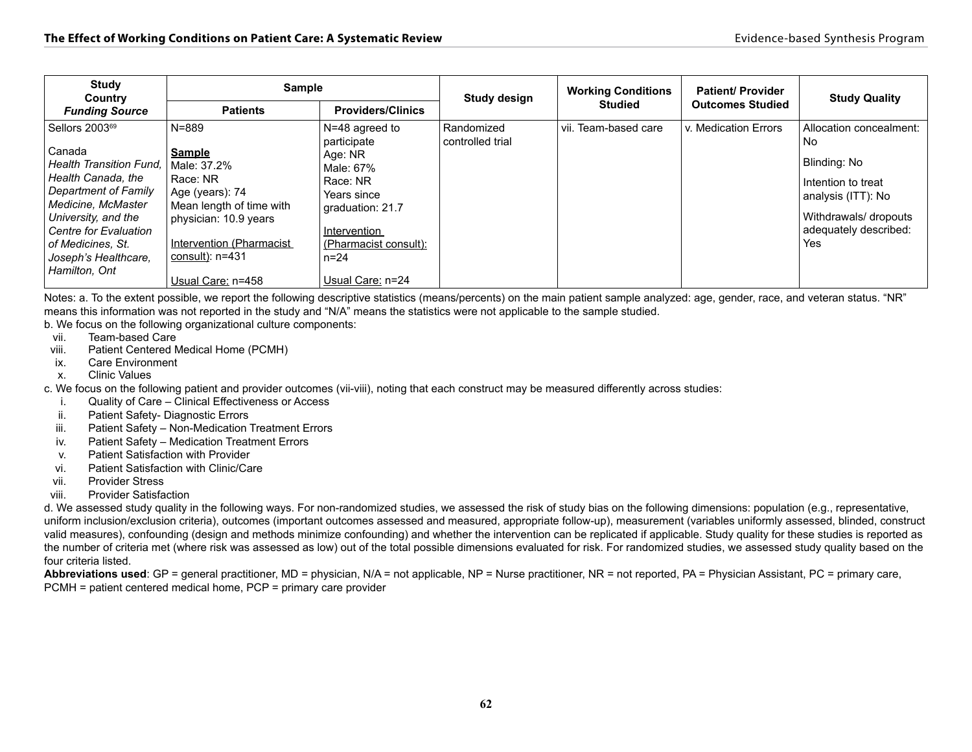| <b>Study</b><br>Country                                                                                                                                                                                          | Sample                                                                                                                                                            |                                                                                                                          | <b>Study design</b>            | <b>Working Conditions</b> | <b>Patient/ Provider</b> | <b>Study Quality</b>                                                                                              |
|------------------------------------------------------------------------------------------------------------------------------------------------------------------------------------------------------------------|-------------------------------------------------------------------------------------------------------------------------------------------------------------------|--------------------------------------------------------------------------------------------------------------------------|--------------------------------|---------------------------|--------------------------|-------------------------------------------------------------------------------------------------------------------|
| <b>Funding Source</b>                                                                                                                                                                                            | <b>Patients</b>                                                                                                                                                   | <b>Providers/Clinics</b>                                                                                                 |                                | <b>Studied</b>            | <b>Outcomes Studied</b>  |                                                                                                                   |
| Sellors 2003 <sup>69</sup>                                                                                                                                                                                       | $N = 889$                                                                                                                                                         | N=48 agreed to<br>participate                                                                                            | Randomized<br>controlled trial | vii. Team-based care      | v. Medication Errors     | Allocation concealment:<br>No.                                                                                    |
| Canada<br><b>Health Transition Fund.</b><br>Health Canada, the<br><b>Department of Family</b><br>Medicine, McMaster<br>University, and the<br>Centre for Evaluation<br>of Medicines, St.<br>Joseph's Healthcare. | <b>Sample</b><br>Male: 37.2%<br>Race: NR<br>Age (years): 74<br>Mean length of time with<br>physician: 10.9 years<br>Intervention (Pharmacist<br>consult): $n=431$ | Age: NR<br>Male: 67%<br>Race: NR<br>Years since<br>graduation: 21.7<br>Intervention<br>(Pharmacist consult):<br>$n = 24$ |                                |                           |                          | Blinding: No<br>Intention to treat<br>analysis (ITT): No<br>Withdrawals/ dropouts<br>adequately described:<br>Yes |
| Hamilton, Ont                                                                                                                                                                                                    | Usual Care: n=458                                                                                                                                                 | Usual Care: n=24                                                                                                         |                                |                           |                          |                                                                                                                   |

Notes: a. To the extent possible, we report the following descriptive statistics (means/percents) on the main patient sample analyzed: age, gender, race, and veteran status. "NR" means this information was not reported in the study and "N/A" means the statistics were not applicable to the sample studied.

b. We focus on the following organizational culture components:

- vii. Team-based Care
- viii. Patient Centered Medical Home (PCMH)
- ix. Care Environment
- x. Clinic Values

c. We focus on the following patient and provider outcomes (vii-viii), noting that each construct may be measured differently across studies:

- i. Quality of Care Clinical Effectiveness or Access
- ii. Patient Safety- Diagnostic Errors
- iii. Patient Safety Non-Medication Treatment Errors
- iv. Patient Safety Medication Treatment Errors
- v. Patient Satisfaction with Provider
- vi. Patient Satisfaction with Clinic/Care
- vii. Provider Stress
- viii. Provider Satisfaction

d. We assessed study quality in the following ways. For non-randomized studies, we assessed the risk of study bias on the following dimensions: population (e.g., representative, uniform inclusion/exclusion criteria), outcomes (important outcomes assessed and measured, appropriate follow-up), measurement (variables uniformly assessed, blinded, construct valid measures), confounding (design and methods minimize confounding) and whether the intervention can be replicated if applicable. Study quality for these studies is reported as the number of criteria met (where risk was assessed as low) out of the total possible dimensions evaluated for risk. For randomized studies, we assessed study quality based on the four criteria listed.

**Abbreviations used**: GP = general practitioner, MD = physician, N/A = not applicable, NP = Nurse practitioner, NR = not reported, PA = Physician Assistant, PC = primary care, PCMH = patient centered medical home, PCP = primary care provider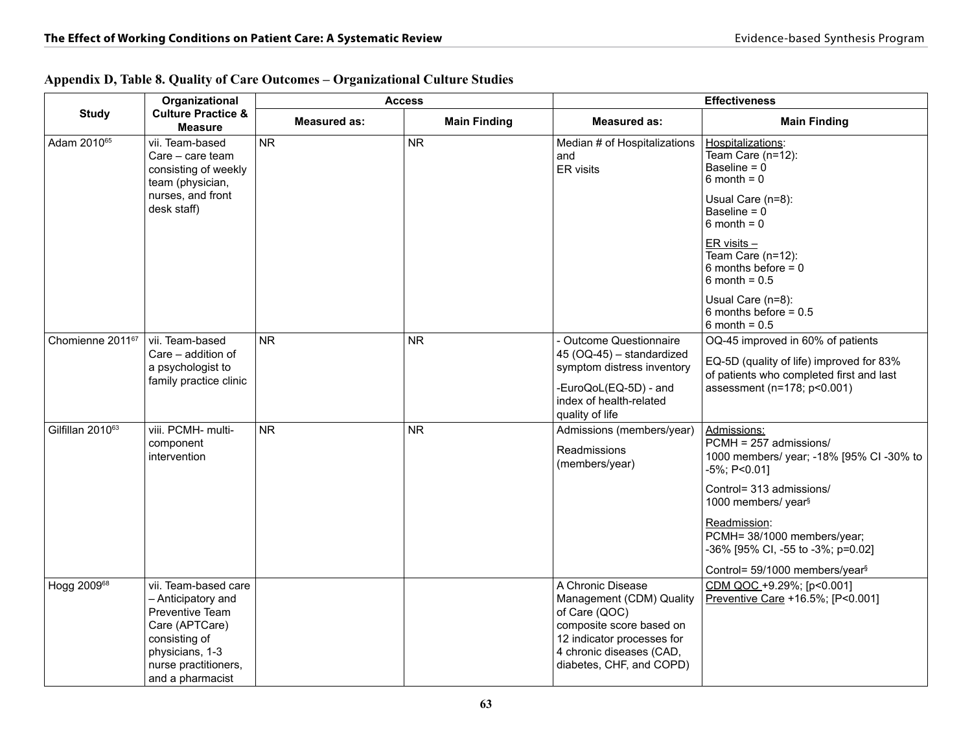|                              | Organizational                                                                                                                                                  |                     | <b>Access</b>       | <b>Effectiveness</b>                                                                                                                                                             |                                                                                                                                                                                                                                                                                                        |
|------------------------------|-----------------------------------------------------------------------------------------------------------------------------------------------------------------|---------------------|---------------------|----------------------------------------------------------------------------------------------------------------------------------------------------------------------------------|--------------------------------------------------------------------------------------------------------------------------------------------------------------------------------------------------------------------------------------------------------------------------------------------------------|
| <b>Study</b>                 | <b>Culture Practice &amp;</b><br><b>Measure</b>                                                                                                                 | <b>Measured as:</b> | <b>Main Finding</b> | <b>Measured as:</b>                                                                                                                                                              | <b>Main Finding</b>                                                                                                                                                                                                                                                                                    |
| Adam 2010 <sup>65</sup>      | vii. Team-based<br>Care - care team<br>consisting of weekly<br>team (physician,<br>nurses, and front<br>desk staff)                                             | <b>NR</b>           | <b>NR</b>           | Median # of Hospitalizations<br>and<br>ER visits                                                                                                                                 | Hospitalizations:<br>Team Care (n=12):<br>Baseline = $0$<br>$6$ month = $0$<br>Usual Care (n=8):<br>Baseline = $0$<br>$6$ month = $0$<br>$ER \text{ visits}$<br>Team Care (n=12):<br>6 months before $= 0$<br>$6$ month = $0.5$<br>Usual Care (n=8):<br>6 months before $= 0.5$<br>6 month = $0.5$     |
| Chomienne 2011 <sup>67</sup> | vii. Team-based<br>Care - addition of<br>a psychologist to<br>family practice clinic                                                                            | <b>NR</b>           | <b>NR</b>           | - Outcome Questionnaire<br>45 (OQ-45) - standardized<br>symptom distress inventory<br>-EuroQoL(EQ-5D) - and<br>index of health-related<br>quality of life                        | OQ-45 improved in 60% of patients<br>EQ-5D (quality of life) improved for 83%<br>of patients who completed first and last<br>assessment (n=178; p<0.001)                                                                                                                                               |
| Gilfillan 2010 <sup>63</sup> | viii. PCMH- multi-<br>component<br>intervention                                                                                                                 | <b>NR</b>           | <b>NR</b>           | Admissions (members/year)<br><b>Readmissions</b><br>(members/year)                                                                                                               | Admissions:<br>PCMH = 257 admissions/<br>1000 members/ year; -18% [95% CI -30% to<br>$-5\%$ ; P<0.01]<br>Control= 313 admissions/<br>1000 members/ year <sup>§</sup><br>Readmission:<br>PCMH= 38/1000 members/year;<br>-36% [95% CI, -55 to -3%; p=0.02]<br>Control= 59/1000 members/year <sup>§</sup> |
| Hogg 200968                  | vii. Team-based care<br>- Anticipatory and<br>Preventive Team<br>Care (APTCare)<br>consisting of<br>physicians, 1-3<br>nurse practitioners,<br>and a pharmacist |                     |                     | A Chronic Disease<br>Management (CDM) Quality<br>of Care (QOC)<br>composite score based on<br>12 indicator processes for<br>4 chronic diseases (CAD,<br>diabetes, CHF, and COPD) | CDM QOC +9.29%; [p<0.001]<br>Preventive Care +16.5%; [P<0.001]                                                                                                                                                                                                                                         |

### **Appendix D, Table 8. Quality of Care Outcomes – Organizational Culture Studies**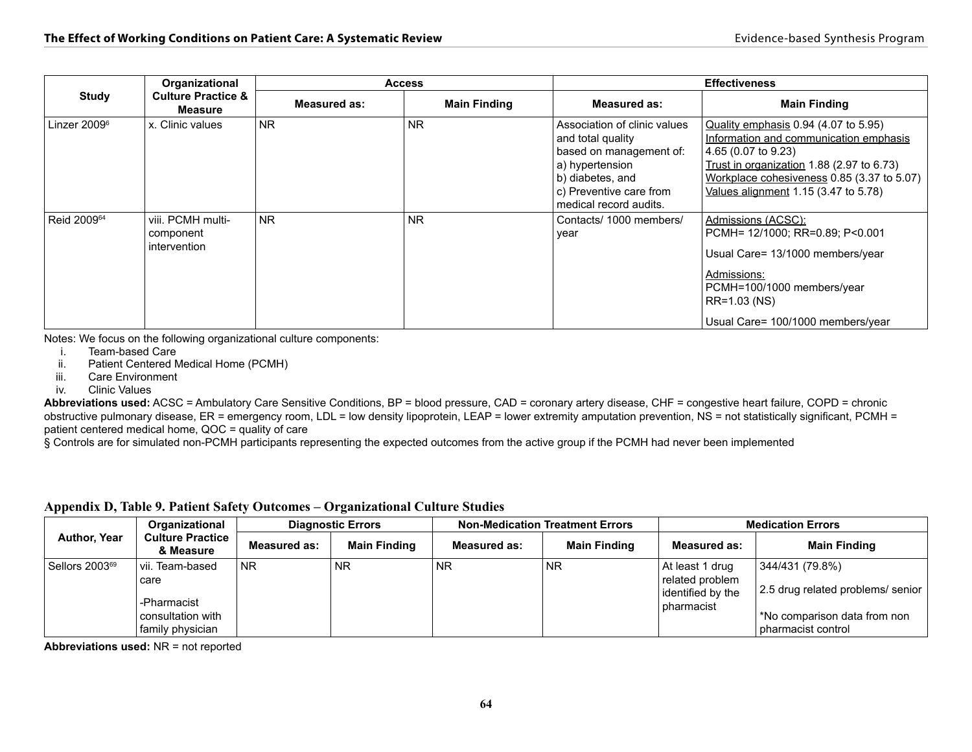|                         | Organizational                                 |              | <b>Access</b>       | <b>Effectiveness</b>                                                                                                                                                     |                                                                                                                                                                                                                                            |  |  |
|-------------------------|------------------------------------------------|--------------|---------------------|--------------------------------------------------------------------------------------------------------------------------------------------------------------------------|--------------------------------------------------------------------------------------------------------------------------------------------------------------------------------------------------------------------------------------------|--|--|
| <b>Study</b>            | <b>Culture Practice &amp;</b><br>Measure       | Measured as: | <b>Main Finding</b> | Measured as:                                                                                                                                                             | <b>Main Finding</b>                                                                                                                                                                                                                        |  |  |
| Linzer $2009^{\circ}$   | x. Clinic values                               | <b>NR</b>    | <b>NR</b>           | Association of clinic values<br>and total quality<br>based on management of:<br>a) hypertension<br>b) diabetes, and<br>c) Preventive care from<br>medical record audits. | Quality emphasis 0.94 (4.07 to 5.95)<br>Information and communication emphasis<br>4.65 (0.07 to 9.23)<br>Trust in organization $1.88$ (2.97 to 6.73)<br>Workplace cohesiveness 0.85 (3.37 to 5.07)<br>Values alignment 1.15 (3.47 to 5.78) |  |  |
| Reid 2009 <sup>64</sup> | viii. PCMH multi-<br>component<br>intervention | <b>NR</b>    | <b>NR</b>           | Contacts/1000 members/<br>year                                                                                                                                           | Admissions (ACSC):<br>PCMH= 12/1000; RR=0.89; P<0.001<br>Usual Care= 13/1000 members/year<br>Admissions:<br>PCMH=100/1000 members/year<br>RR=1.03 (NS)<br>Usual Care= 100/1000 members/year                                                |  |  |

Notes: We focus on the following organizational culture components:

i. Team-based Care

ii. Patient Centered Medical Home (PCMH)

- iii. Care Environment
- iv. Clinic Values

**Abbreviations used:** ACSC = Ambulatory Care Sensitive Conditions, BP = blood pressure, CAD = coronary artery disease, CHF = congestive heart failure, COPD = chronic obstructive pulmonary disease, ER = emergency room, LDL = low density lipoprotein, LEAP = lower extremity amputation prevention, NS = not statistically significant, PCMH = patient centered medical home, QOC = quality of care

§ Controls are for simulated non-PCMH participants representing the expected outcomes from the active group if the PCMH had never been implemented

|                            | <b>Organizational</b><br><b>Culture Practice</b><br>& Measure                       | <b>Diagnostic Errors</b> |                     |              | <b>Non-Medication Treatment Errors</b> | <b>Medication Errors</b>                                              |                                                                                                           |  |
|----------------------------|-------------------------------------------------------------------------------------|--------------------------|---------------------|--------------|----------------------------------------|-----------------------------------------------------------------------|-----------------------------------------------------------------------------------------------------------|--|
| <b>Author, Year</b>        |                                                                                     | <b>Measured as:</b>      | <b>Main Finding</b> | Measured as: | <b>Main Finding</b>                    | Measured as:                                                          | <b>Main Finding</b>                                                                                       |  |
| Sellors 2003 <sup>69</sup> | l vii. Team-based<br>care<br>-Pharmacist<br>l consultation with<br>family physician | <b>NR</b>                | <b>NR</b>           | NR.          | <b>NR</b>                              | At least 1 drug<br>related problem<br>identified by the<br>pharmacist | 344/431 (79.8%)<br>2.5 drug related problems/senior<br>*No comparison data from non<br>pharmacist control |  |

**Appendix D, Table 9. Patient Safety Outcomes – Organizational Culture Studies** 

**Abbreviations used:** NR = not reported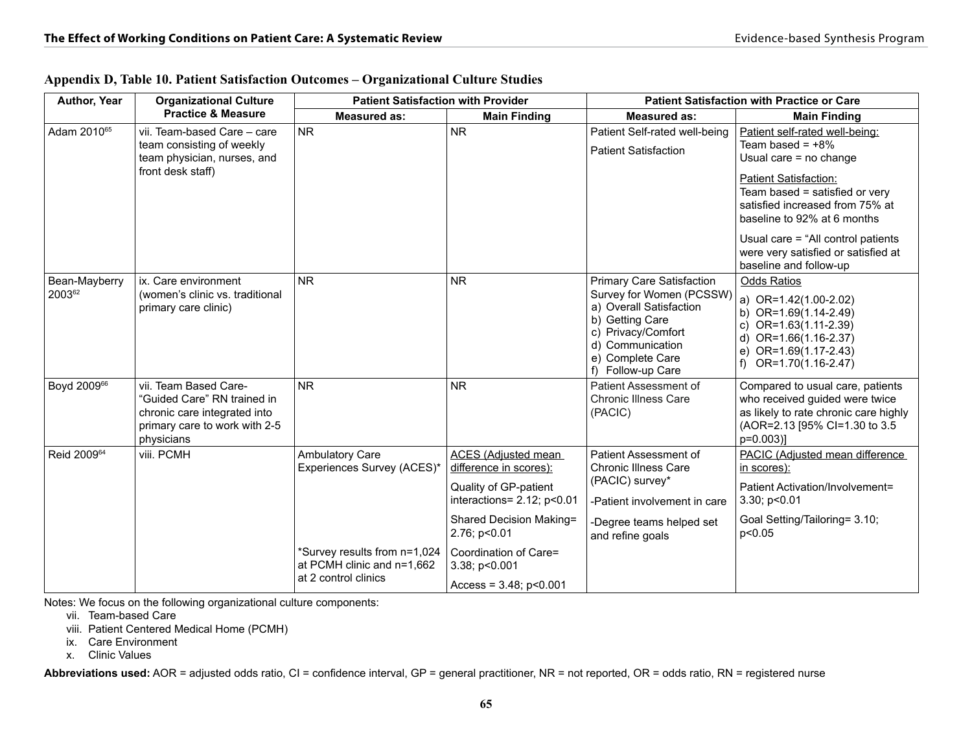| Author, Year<br><b>Organizational Culture</b> |                                                                                                                                     | <b>Patient Satisfaction with Provider</b>                  |                                                                                                      | <b>Patient Satisfaction with Practice or Care</b>                                                                                                                                             |                                                                                                                                                                                                                                          |  |  |
|-----------------------------------------------|-------------------------------------------------------------------------------------------------------------------------------------|------------------------------------------------------------|------------------------------------------------------------------------------------------------------|-----------------------------------------------------------------------------------------------------------------------------------------------------------------------------------------------|------------------------------------------------------------------------------------------------------------------------------------------------------------------------------------------------------------------------------------------|--|--|
|                                               | <b>Practice &amp; Measure</b>                                                                                                       | <b>Measured as:</b>                                        | <b>Main Finding</b>                                                                                  | <b>Measured as:</b>                                                                                                                                                                           | <b>Main Finding</b>                                                                                                                                                                                                                      |  |  |
| Adam 2010 <sup>65</sup>                       | vii. Team-based Care - care<br>team consisting of weekly<br>team physician, nurses, and                                             | <b>NR</b>                                                  | <b>NR</b>                                                                                            | Patient Self-rated well-being<br><b>Patient Satisfaction</b>                                                                                                                                  | Patient self-rated well-being:<br>Team based = $+8\%$<br>Usual care = no change                                                                                                                                                          |  |  |
|                                               | front desk staff)                                                                                                                   |                                                            |                                                                                                      |                                                                                                                                                                                               | <b>Patient Satisfaction:</b><br>Team based = satisfied or very<br>satisfied increased from 75% at<br>baseline to 92% at 6 months<br>Usual care = "All control patients"<br>were very satisfied or satisfied at<br>baseline and follow-up |  |  |
| Bean-Mayberry<br>200362                       | ix. Care environment<br>(women's clinic vs. traditional<br>primary care clinic)                                                     | <b>NR</b>                                                  | <b>NR</b>                                                                                            | <b>Primary Care Satisfaction</b><br>Survey for Women (PCSSW)<br>a) Overall Satisfaction<br>b) Getting Care<br>c) Privacy/Comfort<br>d) Communication<br>e) Complete Care<br>f) Follow-up Care | Odds Ratios<br>a) OR=1.42(1.00-2.02)<br>b) OR= $1.69(1.14-2.49)$<br>OR=1.63(1.11-2.39)<br>C)<br>d) OR=1.66(1.16-2.37)<br>OR=1.69(1.17-2.43)<br>e)<br>OR=1.70(1.16-2.47)<br>f)                                                            |  |  |
| Boyd 200966                                   | vii. Team Based Care-<br>"Guided Care" RN trained in<br>chronic care integrated into<br>primary care to work with 2-5<br>physicians | <b>NR</b>                                                  | <b>NR</b>                                                                                            | Patient Assessment of<br><b>Chronic Illness Care</b><br>(PACIC)                                                                                                                               | Compared to usual care, patients<br>who received guided were twice<br>as likely to rate chronic care highly<br>(AOR=2.13 [95% CI=1.30 to 3.5<br>p=0.003)]                                                                                |  |  |
| Reid 2009 <sup>64</sup>                       | viii. PCMH                                                                                                                          | Ambulatory Care<br>Experiences Survey (ACES)*              | ACES (Adiusted mean<br>difference in scores):<br>Quality of GP-patient<br>interactions= 2.12; p<0.01 | Patient Assessment of<br><b>Chronic Illness Care</b><br>(PACIC) survey*<br>-Patient involvement in care                                                                                       | PACIC (Adjusted mean difference<br>in scores):<br>Patient Activation/Involvement=<br>3.30; p<0.01                                                                                                                                        |  |  |
|                                               |                                                                                                                                     |                                                            | Shared Decision Making=<br>2.76; p<0.01                                                              | -Degree teams helped set<br>and refine goals                                                                                                                                                  | Goal Setting/Tailoring= 3.10;<br>p<0.05                                                                                                                                                                                                  |  |  |
|                                               |                                                                                                                                     | *Survey results from n=1,024<br>at PCMH clinic and n=1.662 | Coordination of Care=<br>3.38; p<0.001                                                               |                                                                                                                                                                                               |                                                                                                                                                                                                                                          |  |  |
|                                               |                                                                                                                                     | at 2 control clinics                                       | Access = $3.48$ ; $p < 0.001$                                                                        |                                                                                                                                                                                               |                                                                                                                                                                                                                                          |  |  |

|  | Appendix D, Table 10. Patient Satisfaction Outcomes – Organizational Culture Studies |  |  |
|--|--------------------------------------------------------------------------------------|--|--|
|  |                                                                                      |  |  |

Notes: We focus on the following organizational culture components:

vii. Team-based Care

viii. Patient Centered Medical Home (PCMH)

ix. Care Environment

x. Clinic Values

Abbreviations used: AOR = adjusted odds ratio, CI = confidence interval, GP = general practitioner, NR = not reported, OR = odds ratio, RN = registered nurse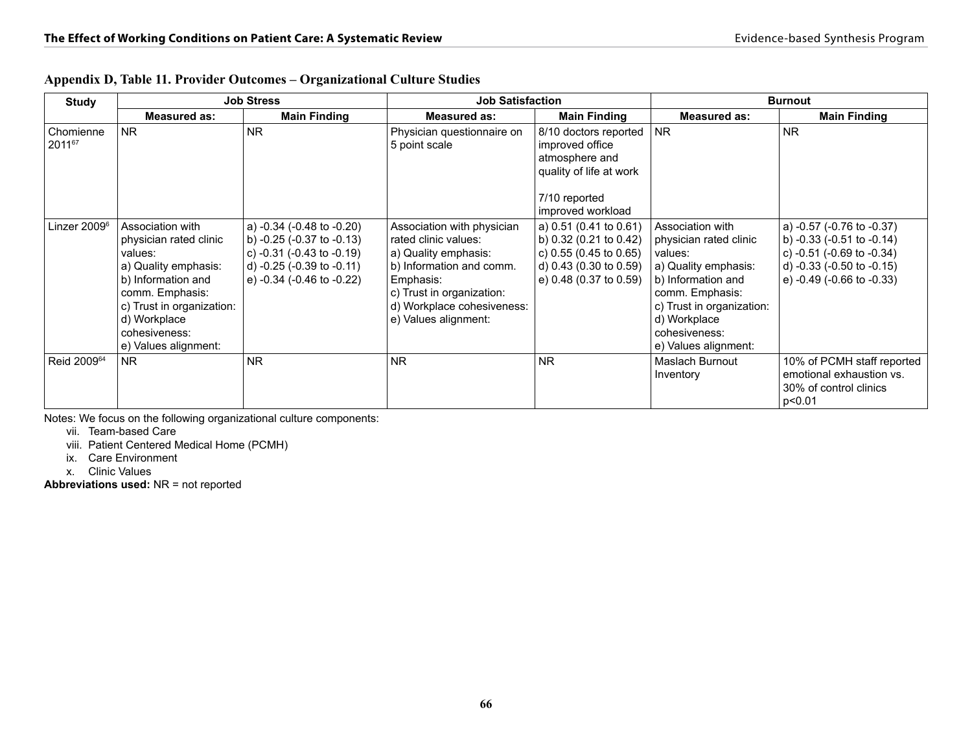| <b>Study</b>             |                                                                                                                                                                                                              | <b>Job Stress</b>                                                                                                                                             | <b>Job Satisfaction</b>                                                                                                                                                                                |                                                                                                                                | <b>Burnout</b>                                                                                                                                                                                               |                                                                                                                                                             |  |
|--------------------------|--------------------------------------------------------------------------------------------------------------------------------------------------------------------------------------------------------------|---------------------------------------------------------------------------------------------------------------------------------------------------------------|--------------------------------------------------------------------------------------------------------------------------------------------------------------------------------------------------------|--------------------------------------------------------------------------------------------------------------------------------|--------------------------------------------------------------------------------------------------------------------------------------------------------------------------------------------------------------|-------------------------------------------------------------------------------------------------------------------------------------------------------------|--|
|                          | <b>Measured as:</b>                                                                                                                                                                                          | <b>Main Finding</b>                                                                                                                                           | <b>Measured as:</b>                                                                                                                                                                                    | <b>Main Finding</b>                                                                                                            | <b>Measured as:</b>                                                                                                                                                                                          | <b>Main Finding</b>                                                                                                                                         |  |
| Chomienne<br>201167      | NR.                                                                                                                                                                                                          | <b>NR</b>                                                                                                                                                     | Physician questionnaire on<br>5 point scale                                                                                                                                                            | 8/10 doctors reported<br>improved office<br>atmosphere and<br>quality of life at work<br>7/10 reported<br>improved workload    | <b>NR</b>                                                                                                                                                                                                    | <b>NR</b>                                                                                                                                                   |  |
| Linzer 2009 <sup>6</sup> | Association with<br>physician rated clinic<br>values:<br>a) Quality emphasis:<br>b) Information and<br>comm. Emphasis:<br>c) Trust in organization:<br>d) Workplace<br>cohesiveness:<br>e) Values alignment: | a) -0.34 (-0.48 to -0.20)<br>b) $-0.25$ ( $-0.37$ to $-0.13$ )<br>c) $-0.31$ ( $-0.43$ to $-0.19$ )<br>d) -0.25 (-0.39 to -0.11)<br>e) -0.34 (-0.46 to -0.22) | Association with physician<br>rated clinic values:<br>a) Quality emphasis:<br>b) Information and comm.<br>Emphasis:<br>c) Trust in organization:<br>d) Workplace cohesiveness:<br>e) Values alignment: | a) 0.51 (0.41 to 0.61)<br>b) 0.32 (0.21 to 0.42)<br>c) 0.55 (0.45 to 0.65)<br>d) 0.43 (0.30 to 0.59)<br>e) 0.48 (0.37 to 0.59) | Association with<br>physician rated clinic<br>values:<br>a) Quality emphasis:<br>b) Information and<br>comm. Emphasis:<br>c) Trust in organization:<br>d) Workplace<br>cohesiveness:<br>e) Values alignment: | a) -0.57 (-0.76 to -0.37)<br>b) $-0.33$ $(-0.51$ to $-0.14)$<br>c) $-0.51$ ( $-0.69$ to $-0.34$ )<br>d) -0.33 (-0.50 to -0.15)<br>e) -0.49 (-0.66 to -0.33) |  |
| Reid 2009 <sup>64</sup>  | <b>NR</b>                                                                                                                                                                                                    | <b>NR</b>                                                                                                                                                     | <b>NR</b>                                                                                                                                                                                              | <b>NR</b>                                                                                                                      | Maslach Burnout<br>Inventory                                                                                                                                                                                 | 10% of PCMH staff reported<br>emotional exhaustion vs.<br>30% of control clinics<br>p<0.01                                                                  |  |

|  |  |  | Appendix D, Table 11. Provider Outcomes – Organizational Culture Studies |  |  |  |
|--|--|--|--------------------------------------------------------------------------|--|--|--|
|  |  |  |                                                                          |  |  |  |

Notes: We focus on the following organizational culture components:

vii. Team-based Care

viii. Patient Centered Medical Home (PCMH)

ix. Care Environment

x. Clinic Values

**Abbreviations used:** NR = not reported